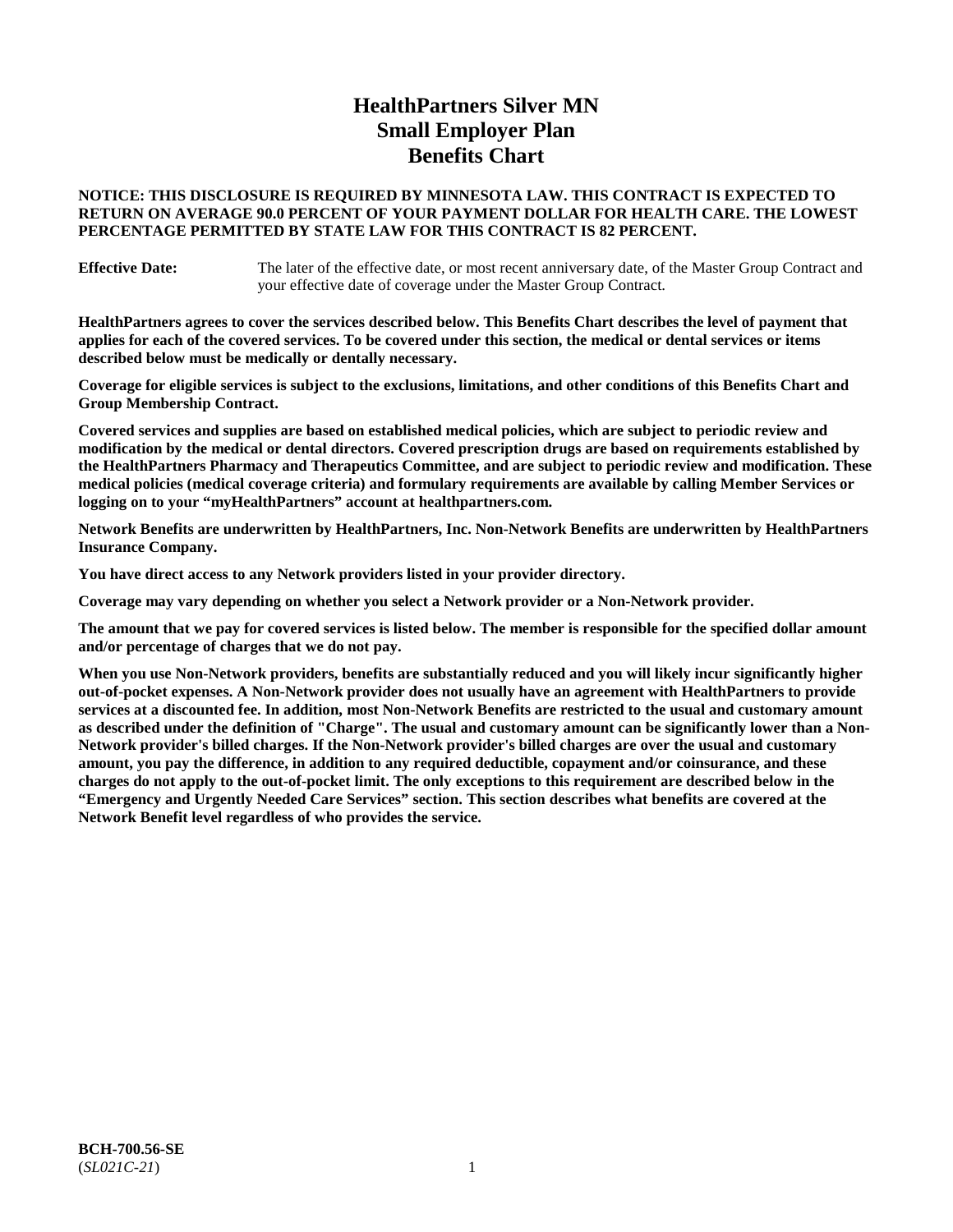# **HealthPartners Silver MN Small Employer Plan Benefits Chart**

# **NOTICE: THIS DISCLOSURE IS REQUIRED BY MINNESOTA LAW. THIS CONTRACT IS EXPECTED TO RETURN ON AVERAGE 90.0 PERCENT OF YOUR PAYMENT DOLLAR FOR HEALTH CARE. THE LOWEST PERCENTAGE PERMITTED BY STATE LAW FOR THIS CONTRACT IS 82 PERCENT.**

**Effective Date:** The later of the effective date, or most recent anniversary date, of the Master Group Contract and your effective date of coverage under the Master Group Contract.

**HealthPartners agrees to cover the services described below. This Benefits Chart describes the level of payment that applies for each of the covered services. To be covered under this section, the medical or dental services or items described below must be medically or dentally necessary.**

**Coverage for eligible services is subject to the exclusions, limitations, and other conditions of this Benefits Chart and Group Membership Contract.**

**Covered services and supplies are based on established medical policies, which are subject to periodic review and modification by the medical or dental directors. Covered prescription drugs are based on requirements established by the HealthPartners Pharmacy and Therapeutics Committee, and are subject to periodic review and modification. These medical policies (medical coverage criteria) and formulary requirements are available by calling Member Services or logging on to your "myHealthPartners" account at [healthpartners.com.](https://www.healthpartners.com/hp/index.html)**

**Network Benefits are underwritten by HealthPartners, Inc. Non-Network Benefits are underwritten by HealthPartners Insurance Company.** 

**You have direct access to any Network providers listed in your provider directory.**

**Coverage may vary depending on whether you select a Network provider or a Non-Network provider.**

**The amount that we pay for covered services is listed below. The member is responsible for the specified dollar amount and/or percentage of charges that we do not pay.**

**When you use Non-Network providers, benefits are substantially reduced and you will likely incur significantly higher out-of-pocket expenses. A Non-Network provider does not usually have an agreement with HealthPartners to provide services at a discounted fee. In addition, most Non-Network Benefits are restricted to the usual and customary amount as described under the definition of "Charge". The usual and customary amount can be significantly lower than a Non-Network provider's billed charges. If the Non-Network provider's billed charges are over the usual and customary amount, you pay the difference, in addition to any required deductible, copayment and/or coinsurance, and these charges do not apply to the out-of-pocket limit. The only exceptions to this requirement are described below in the "Emergency and Urgently Needed Care Services" section. This section describes what benefits are covered at the Network Benefit level regardless of who provides the service.**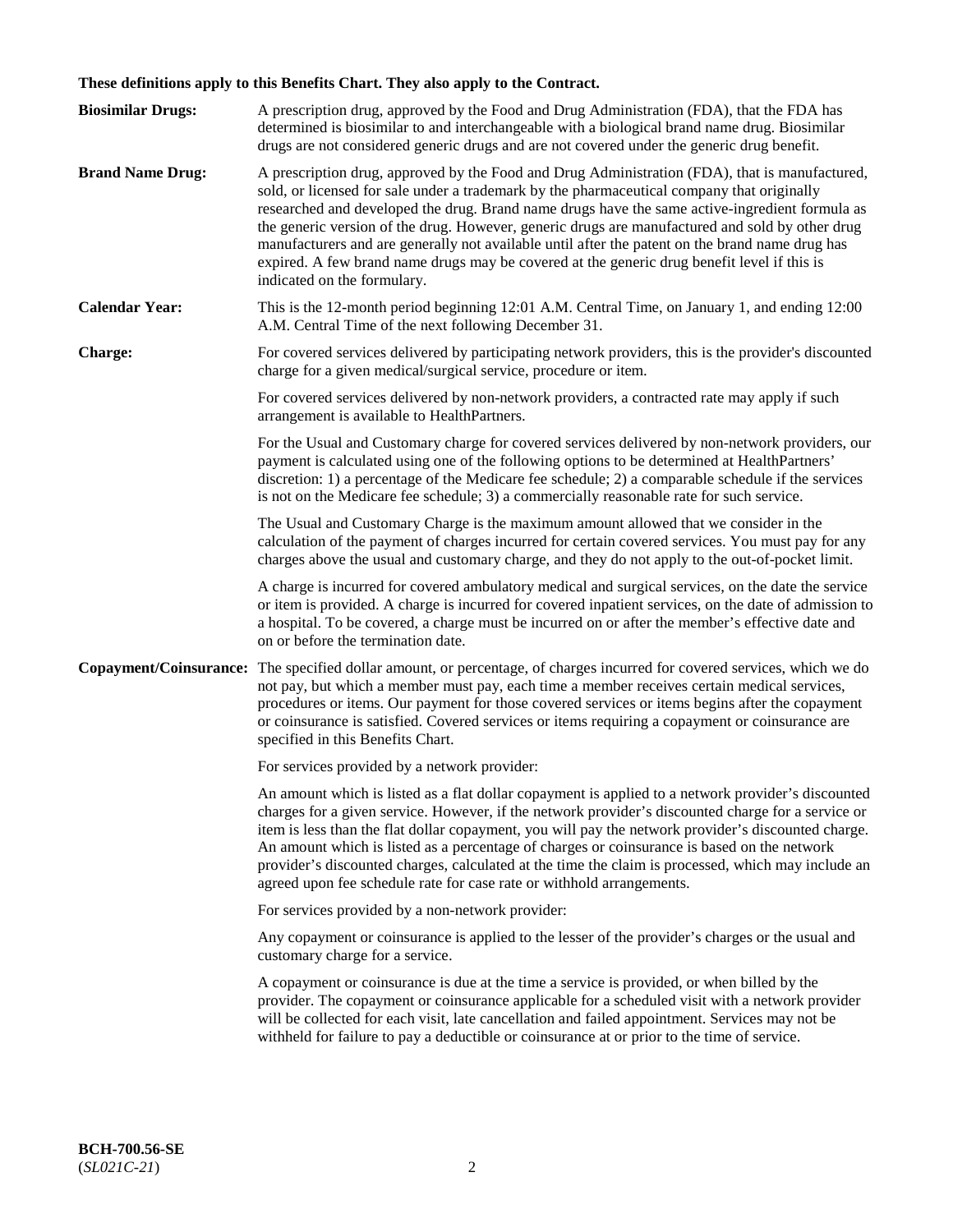# **These definitions apply to this Benefits Chart. They also apply to the Contract.**

| <b>Biosimilar Drugs:</b> | A prescription drug, approved by the Food and Drug Administration (FDA), that the FDA has<br>determined is biosimilar to and interchangeable with a biological brand name drug. Biosimilar<br>drugs are not considered generic drugs and are not covered under the generic drug benefit.                                                                                                                                                                                                                                                                                                                                           |
|--------------------------|------------------------------------------------------------------------------------------------------------------------------------------------------------------------------------------------------------------------------------------------------------------------------------------------------------------------------------------------------------------------------------------------------------------------------------------------------------------------------------------------------------------------------------------------------------------------------------------------------------------------------------|
| <b>Brand Name Drug:</b>  | A prescription drug, approved by the Food and Drug Administration (FDA), that is manufactured,<br>sold, or licensed for sale under a trademark by the pharmaceutical company that originally<br>researched and developed the drug. Brand name drugs have the same active-ingredient formula as<br>the generic version of the drug. However, generic drugs are manufactured and sold by other drug<br>manufacturers and are generally not available until after the patent on the brand name drug has<br>expired. A few brand name drugs may be covered at the generic drug benefit level if this is<br>indicated on the formulary. |
| <b>Calendar Year:</b>    | This is the 12-month period beginning 12:01 A.M. Central Time, on January 1, and ending 12:00<br>A.M. Central Time of the next following December 31.                                                                                                                                                                                                                                                                                                                                                                                                                                                                              |
| <b>Charge:</b>           | For covered services delivered by participating network providers, this is the provider's discounted<br>charge for a given medical/surgical service, procedure or item.                                                                                                                                                                                                                                                                                                                                                                                                                                                            |
|                          | For covered services delivered by non-network providers, a contracted rate may apply if such<br>arrangement is available to HealthPartners.                                                                                                                                                                                                                                                                                                                                                                                                                                                                                        |
|                          | For the Usual and Customary charge for covered services delivered by non-network providers, our<br>payment is calculated using one of the following options to be determined at HealthPartners'<br>discretion: 1) a percentage of the Medicare fee schedule; 2) a comparable schedule if the services<br>is not on the Medicare fee schedule; 3) a commercially reasonable rate for such service.                                                                                                                                                                                                                                  |
|                          | The Usual and Customary Charge is the maximum amount allowed that we consider in the<br>calculation of the payment of charges incurred for certain covered services. You must pay for any<br>charges above the usual and customary charge, and they do not apply to the out-of-pocket limit.                                                                                                                                                                                                                                                                                                                                       |
|                          | A charge is incurred for covered ambulatory medical and surgical services, on the date the service<br>or item is provided. A charge is incurred for covered inpatient services, on the date of admission to<br>a hospital. To be covered, a charge must be incurred on or after the member's effective date and<br>on or before the termination date.                                                                                                                                                                                                                                                                              |
| Copayment/Coinsurance:   | The specified dollar amount, or percentage, of charges incurred for covered services, which we do<br>not pay, but which a member must pay, each time a member receives certain medical services,<br>procedures or items. Our payment for those covered services or items begins after the copayment<br>or coinsurance is satisfied. Covered services or items requiring a copayment or coinsurance are<br>specified in this Benefits Chart.                                                                                                                                                                                        |
|                          | For services provided by a network provider:                                                                                                                                                                                                                                                                                                                                                                                                                                                                                                                                                                                       |
|                          | An amount which is listed as a flat dollar copayment is applied to a network provider's discounted<br>charges for a given service. However, if the network provider's discounted charge for a service or<br>item is less than the flat dollar copayment, you will pay the network provider's discounted charge.<br>An amount which is listed as a percentage of charges or coinsurance is based on the network<br>provider's discounted charges, calculated at the time the claim is processed, which may include an<br>agreed upon fee schedule rate for case rate or withhold arrangements.                                      |
|                          | For services provided by a non-network provider:                                                                                                                                                                                                                                                                                                                                                                                                                                                                                                                                                                                   |
|                          | Any copayment or coinsurance is applied to the lesser of the provider's charges or the usual and<br>customary charge for a service.                                                                                                                                                                                                                                                                                                                                                                                                                                                                                                |
|                          | A copayment or coinsurance is due at the time a service is provided, or when billed by the<br>provider. The copayment or coinsurance applicable for a scheduled visit with a network provider<br>will be collected for each visit, late cancellation and failed appointment. Services may not be<br>withheld for failure to pay a deductible or coinsurance at or prior to the time of service.                                                                                                                                                                                                                                    |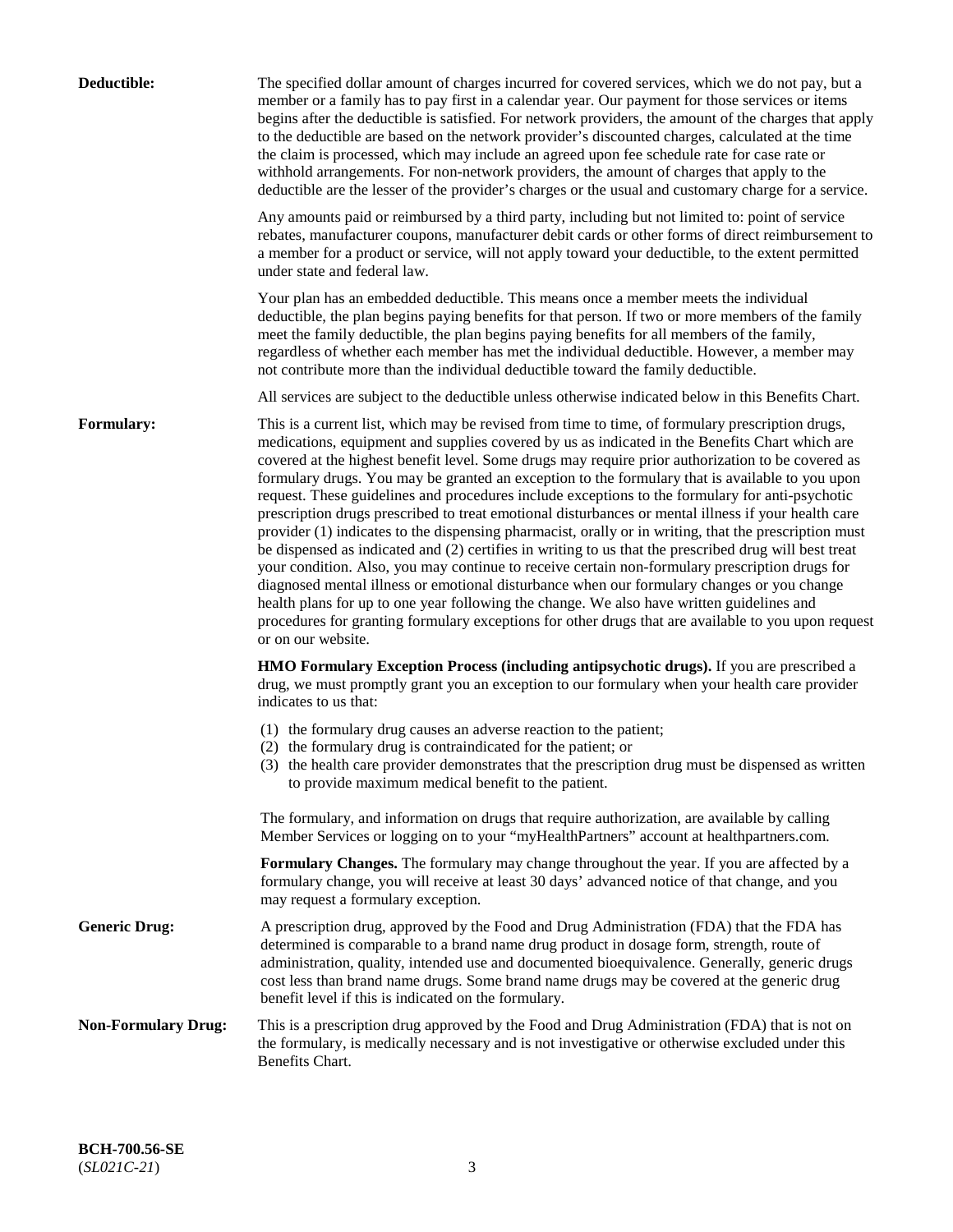| Deductible:                | The specified dollar amount of charges incurred for covered services, which we do not pay, but a<br>member or a family has to pay first in a calendar year. Our payment for those services or items<br>begins after the deductible is satisfied. For network providers, the amount of the charges that apply<br>to the deductible are based on the network provider's discounted charges, calculated at the time<br>the claim is processed, which may include an agreed upon fee schedule rate for case rate or<br>withhold arrangements. For non-network providers, the amount of charges that apply to the<br>deductible are the lesser of the provider's charges or the usual and customary charge for a service.                                                                                                                                                                                                                                                                                                                                                                                                                                                                                                                                             |
|----------------------------|------------------------------------------------------------------------------------------------------------------------------------------------------------------------------------------------------------------------------------------------------------------------------------------------------------------------------------------------------------------------------------------------------------------------------------------------------------------------------------------------------------------------------------------------------------------------------------------------------------------------------------------------------------------------------------------------------------------------------------------------------------------------------------------------------------------------------------------------------------------------------------------------------------------------------------------------------------------------------------------------------------------------------------------------------------------------------------------------------------------------------------------------------------------------------------------------------------------------------------------------------------------|
|                            | Any amounts paid or reimbursed by a third party, including but not limited to: point of service<br>rebates, manufacturer coupons, manufacturer debit cards or other forms of direct reimbursement to<br>a member for a product or service, will not apply toward your deductible, to the extent permitted<br>under state and federal law.                                                                                                                                                                                                                                                                                                                                                                                                                                                                                                                                                                                                                                                                                                                                                                                                                                                                                                                        |
|                            | Your plan has an embedded deductible. This means once a member meets the individual<br>deductible, the plan begins paying benefits for that person. If two or more members of the family<br>meet the family deductible, the plan begins paying benefits for all members of the family,<br>regardless of whether each member has met the individual deductible. However, a member may<br>not contribute more than the individual deductible toward the family deductible.                                                                                                                                                                                                                                                                                                                                                                                                                                                                                                                                                                                                                                                                                                                                                                                         |
|                            | All services are subject to the deductible unless otherwise indicated below in this Benefits Chart.                                                                                                                                                                                                                                                                                                                                                                                                                                                                                                                                                                                                                                                                                                                                                                                                                                                                                                                                                                                                                                                                                                                                                              |
| <b>Formulary:</b>          | This is a current list, which may be revised from time to time, of formulary prescription drugs,<br>medications, equipment and supplies covered by us as indicated in the Benefits Chart which are<br>covered at the highest benefit level. Some drugs may require prior authorization to be covered as<br>formulary drugs. You may be granted an exception to the formulary that is available to you upon<br>request. These guidelines and procedures include exceptions to the formulary for anti-psychotic<br>prescription drugs prescribed to treat emotional disturbances or mental illness if your health care<br>provider (1) indicates to the dispensing pharmacist, orally or in writing, that the prescription must<br>be dispensed as indicated and (2) certifies in writing to us that the prescribed drug will best treat<br>your condition. Also, you may continue to receive certain non-formulary prescription drugs for<br>diagnosed mental illness or emotional disturbance when our formulary changes or you change<br>health plans for up to one year following the change. We also have written guidelines and<br>procedures for granting formulary exceptions for other drugs that are available to you upon request<br>or on our website. |
|                            | <b>HMO Formulary Exception Process (including antipsychotic drugs).</b> If you are prescribed a<br>drug, we must promptly grant you an exception to our formulary when your health care provider<br>indicates to us that:                                                                                                                                                                                                                                                                                                                                                                                                                                                                                                                                                                                                                                                                                                                                                                                                                                                                                                                                                                                                                                        |
|                            | (1) the formulary drug causes an adverse reaction to the patient;<br>(2) the formulary drug is contraindicated for the patient; or<br>(3) the health care provider demonstrates that the prescription drug must be dispensed as written<br>to provide maximum medical benefit to the patient.                                                                                                                                                                                                                                                                                                                                                                                                                                                                                                                                                                                                                                                                                                                                                                                                                                                                                                                                                                    |
|                            | The formulary, and information on drugs that require authorization, are available by calling<br>Member Services or logging on to your "myHealthPartners" account at healthpartners.com.                                                                                                                                                                                                                                                                                                                                                                                                                                                                                                                                                                                                                                                                                                                                                                                                                                                                                                                                                                                                                                                                          |
|                            | Formulary Changes. The formulary may change throughout the year. If you are affected by a<br>formulary change, you will receive at least 30 days' advanced notice of that change, and you<br>may request a formulary exception.                                                                                                                                                                                                                                                                                                                                                                                                                                                                                                                                                                                                                                                                                                                                                                                                                                                                                                                                                                                                                                  |
| <b>Generic Drug:</b>       | A prescription drug, approved by the Food and Drug Administration (FDA) that the FDA has<br>determined is comparable to a brand name drug product in dosage form, strength, route of<br>administration, quality, intended use and documented bioequivalence. Generally, generic drugs<br>cost less than brand name drugs. Some brand name drugs may be covered at the generic drug<br>benefit level if this is indicated on the formulary.                                                                                                                                                                                                                                                                                                                                                                                                                                                                                                                                                                                                                                                                                                                                                                                                                       |
| <b>Non-Formulary Drug:</b> | This is a prescription drug approved by the Food and Drug Administration (FDA) that is not on<br>the formulary, is medically necessary and is not investigative or otherwise excluded under this<br>Benefits Chart.                                                                                                                                                                                                                                                                                                                                                                                                                                                                                                                                                                                                                                                                                                                                                                                                                                                                                                                                                                                                                                              |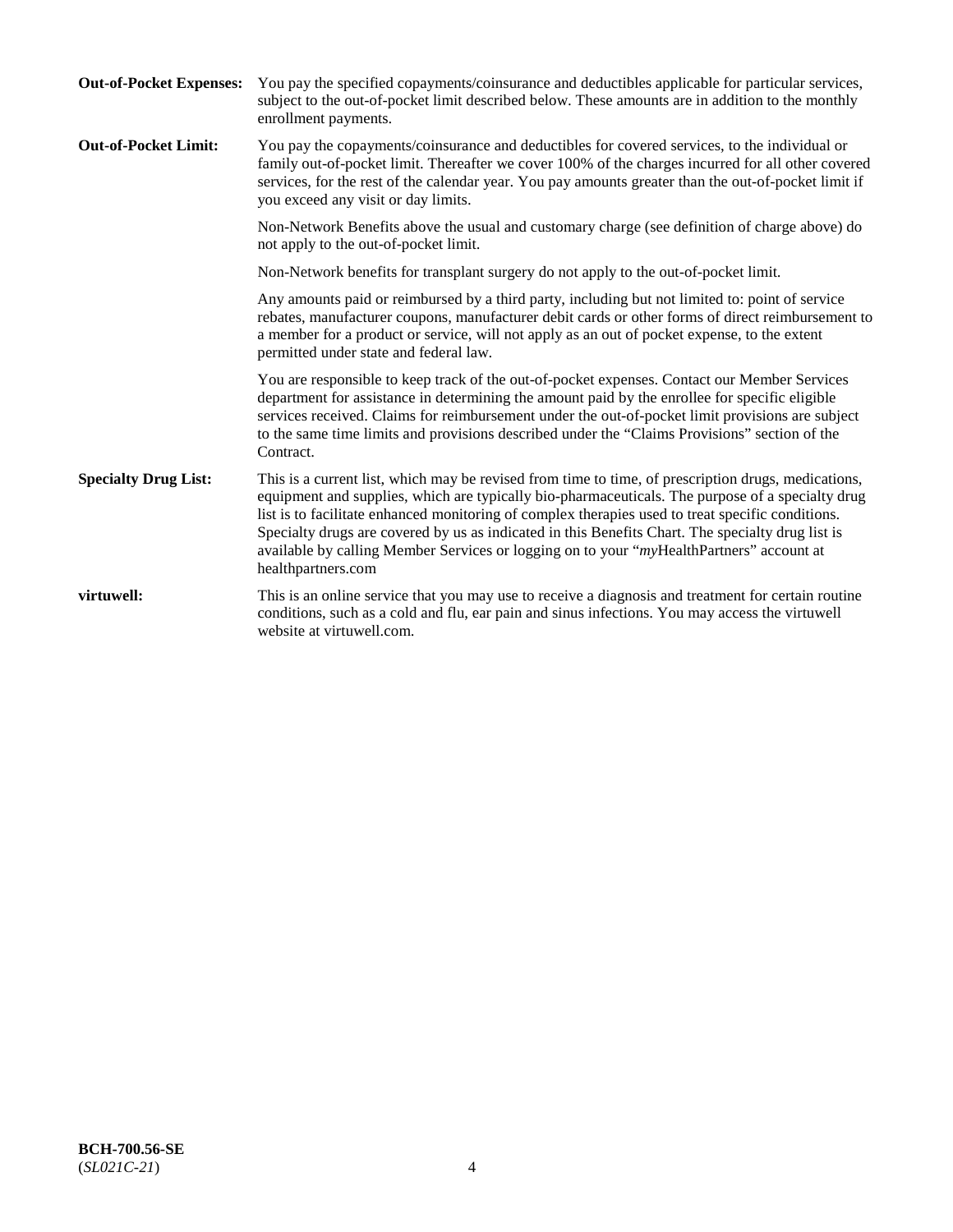| <b>Out-of-Pocket Expenses:</b> | You pay the specified copayments/coinsurance and deductibles applicable for particular services,<br>subject to the out-of-pocket limit described below. These amounts are in addition to the monthly<br>enrollment payments.                                                                                                                                                                                                                                                                                                        |
|--------------------------------|-------------------------------------------------------------------------------------------------------------------------------------------------------------------------------------------------------------------------------------------------------------------------------------------------------------------------------------------------------------------------------------------------------------------------------------------------------------------------------------------------------------------------------------|
| <b>Out-of-Pocket Limit:</b>    | You pay the copayments/coinsurance and deductibles for covered services, to the individual or<br>family out-of-pocket limit. Thereafter we cover 100% of the charges incurred for all other covered<br>services, for the rest of the calendar year. You pay amounts greater than the out-of-pocket limit if<br>you exceed any visit or day limits.                                                                                                                                                                                  |
|                                | Non-Network Benefits above the usual and customary charge (see definition of charge above) do<br>not apply to the out-of-pocket limit.                                                                                                                                                                                                                                                                                                                                                                                              |
|                                | Non-Network benefits for transplant surgery do not apply to the out-of-pocket limit.                                                                                                                                                                                                                                                                                                                                                                                                                                                |
|                                | Any amounts paid or reimbursed by a third party, including but not limited to: point of service<br>rebates, manufacturer coupons, manufacturer debit cards or other forms of direct reimbursement to<br>a member for a product or service, will not apply as an out of pocket expense, to the extent<br>permitted under state and federal law.                                                                                                                                                                                      |
|                                | You are responsible to keep track of the out-of-pocket expenses. Contact our Member Services<br>department for assistance in determining the amount paid by the enrollee for specific eligible<br>services received. Claims for reimbursement under the out-of-pocket limit provisions are subject<br>to the same time limits and provisions described under the "Claims Provisions" section of the<br>Contract.                                                                                                                    |
| <b>Specialty Drug List:</b>    | This is a current list, which may be revised from time to time, of prescription drugs, medications,<br>equipment and supplies, which are typically bio-pharmaceuticals. The purpose of a specialty drug<br>list is to facilitate enhanced monitoring of complex therapies used to treat specific conditions.<br>Specialty drugs are covered by us as indicated in this Benefits Chart. The specialty drug list is<br>available by calling Member Services or logging on to your "myHealthPartners" account at<br>healthpartners.com |
| virtuwell:                     | This is an online service that you may use to receive a diagnosis and treatment for certain routine<br>conditions, such as a cold and flu, ear pain and sinus infections. You may access the virtuwell<br>website at virtuwell.com.                                                                                                                                                                                                                                                                                                 |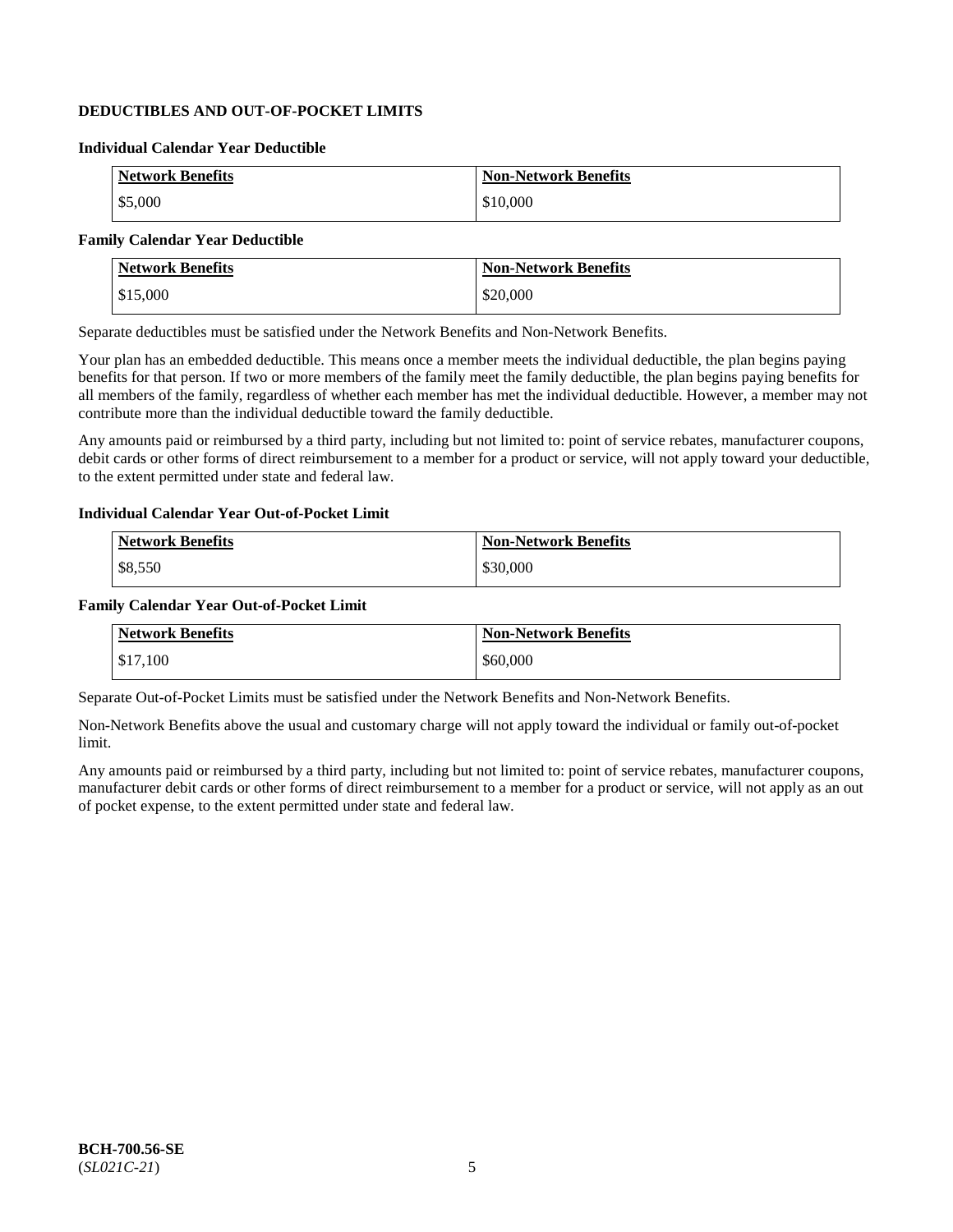# **DEDUCTIBLES AND OUT-OF-POCKET LIMITS**

### **Individual Calendar Year Deductible**

| <b>Network Benefits</b> | <b>Non-Network Benefits</b> |
|-------------------------|-----------------------------|
| \$5,000                 | \$10,000                    |

# **Family Calendar Year Deductible**

| <b>Network Benefits</b> | <b>Non-Network Benefits</b> |
|-------------------------|-----------------------------|
| $\vert$ \$15,000        | \$20,000                    |

Separate deductibles must be satisfied under the Network Benefits and Non-Network Benefits.

Your plan has an embedded deductible. This means once a member meets the individual deductible, the plan begins paying benefits for that person. If two or more members of the family meet the family deductible, the plan begins paying benefits for all members of the family, regardless of whether each member has met the individual deductible. However, a member may not contribute more than the individual deductible toward the family deductible.

Any amounts paid or reimbursed by a third party, including but not limited to: point of service rebates, manufacturer coupons, debit cards or other forms of direct reimbursement to a member for a product or service, will not apply toward your deductible, to the extent permitted under state and federal law.

#### **Individual Calendar Year Out-of-Pocket Limit**

| <b>Network Benefits</b> | <b>Non-Network Benefits</b> |
|-------------------------|-----------------------------|
| \$8,550                 | \$30,000                    |

#### **Family Calendar Year Out-of-Pocket Limit**

| <b>Network Benefits</b> | Non-Network Benefits |
|-------------------------|----------------------|
| \$17,100                | \$60,000             |

Separate Out-of-Pocket Limits must be satisfied under the Network Benefits and Non-Network Benefits.

Non-Network Benefits above the usual and customary charge will not apply toward the individual or family out-of-pocket limit.

Any amounts paid or reimbursed by a third party, including but not limited to: point of service rebates, manufacturer coupons, manufacturer debit cards or other forms of direct reimbursement to a member for a product or service, will not apply as an out of pocket expense, to the extent permitted under state and federal law.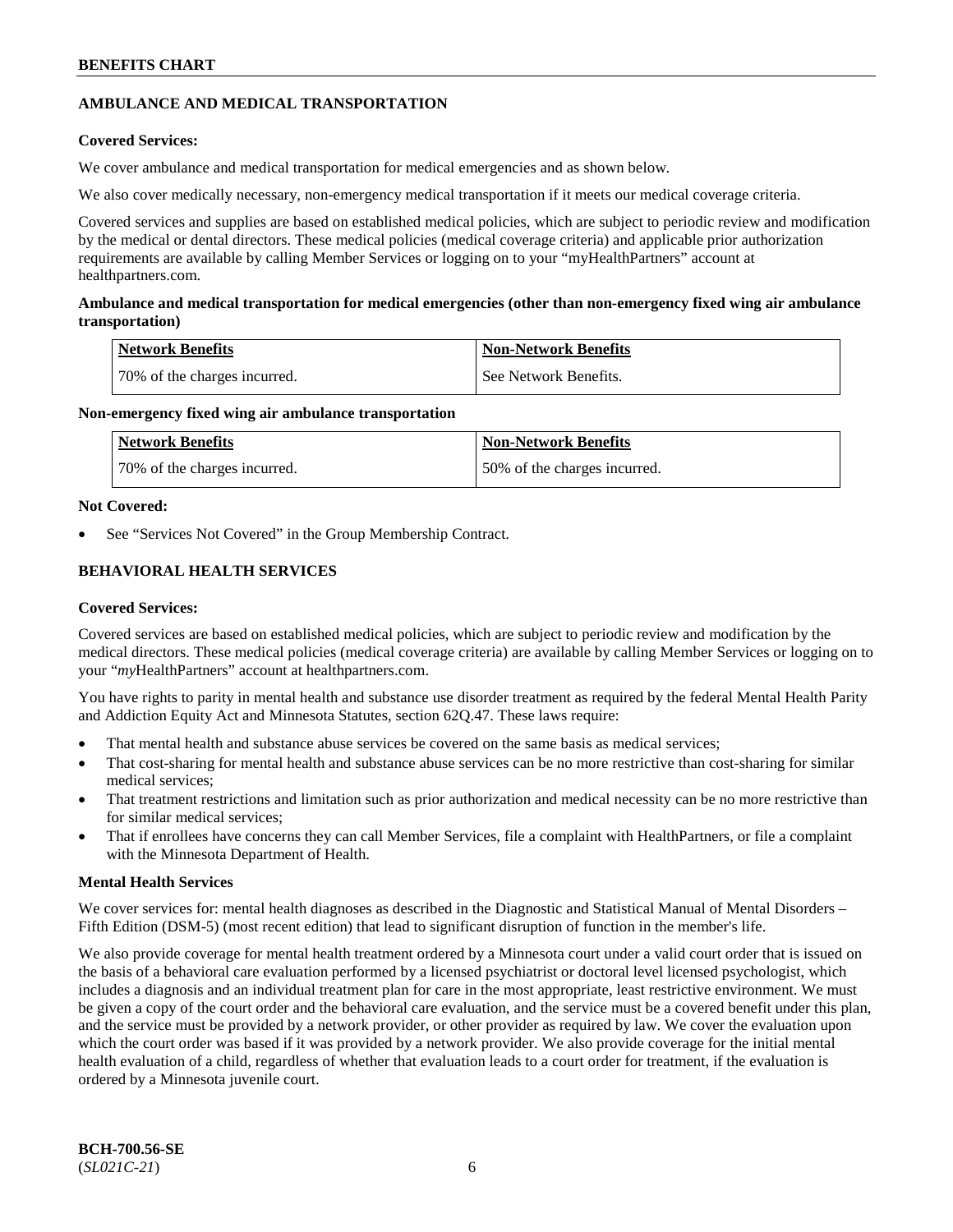# **AMBULANCE AND MEDICAL TRANSPORTATION**

# **Covered Services:**

We cover ambulance and medical transportation for medical emergencies and as shown below.

We also cover medically necessary, non-emergency medical transportation if it meets our medical coverage criteria.

Covered services and supplies are based on established medical policies, which are subject to periodic review and modification by the medical or dental directors. These medical policies (medical coverage criteria) and applicable prior authorization requirements are available by calling Member Services or logging on to your "myHealthPartners" account at [healthpartners.com.](https://www.healthpartners.com/hp/index.html)

# **Ambulance and medical transportation for medical emergencies (other than non-emergency fixed wing air ambulance transportation)**

| Network Benefits             | <b>Non-Network Benefits</b> |
|------------------------------|-----------------------------|
| 70% of the charges incurred. | See Network Benefits.       |

# **Non-emergency fixed wing air ambulance transportation**

| Network Benefits             | <b>Non-Network Benefits</b>  |
|------------------------------|------------------------------|
| 70% of the charges incurred. | 50% of the charges incurred. |

# **Not Covered:**

See "Services Not Covered" in the Group Membership Contract.

# **BEHAVIORAL HEALTH SERVICES**

# **Covered Services:**

Covered services are based on established medical policies, which are subject to periodic review and modification by the medical directors. These medical policies (medical coverage criteria) are available by calling Member Services or logging on to your "*my*HealthPartners" account at [healthpartners.com.](http://www.healthpartners.com/)

You have rights to parity in mental health and substance use disorder treatment as required by the federal Mental Health Parity and Addiction Equity Act and Minnesota Statutes, section 62Q.47. These laws require:

- That mental health and substance abuse services be covered on the same basis as medical services;
- That cost-sharing for mental health and substance abuse services can be no more restrictive than cost-sharing for similar medical services;
- That treatment restrictions and limitation such as prior authorization and medical necessity can be no more restrictive than for similar medical services;
- That if enrollees have concerns they can call Member Services, file a complaint with HealthPartners, or file a complaint with the Minnesota Department of Health.

# **Mental Health Services**

We cover services for: mental health diagnoses as described in the Diagnostic and Statistical Manual of Mental Disorders – Fifth Edition (DSM-5) (most recent edition) that lead to significant disruption of function in the member's life.

We also provide coverage for mental health treatment ordered by a Minnesota court under a valid court order that is issued on the basis of a behavioral care evaluation performed by a licensed psychiatrist or doctoral level licensed psychologist, which includes a diagnosis and an individual treatment plan for care in the most appropriate, least restrictive environment. We must be given a copy of the court order and the behavioral care evaluation, and the service must be a covered benefit under this plan, and the service must be provided by a network provider, or other provider as required by law. We cover the evaluation upon which the court order was based if it was provided by a network provider. We also provide coverage for the initial mental health evaluation of a child, regardless of whether that evaluation leads to a court order for treatment, if the evaluation is ordered by a Minnesota juvenile court.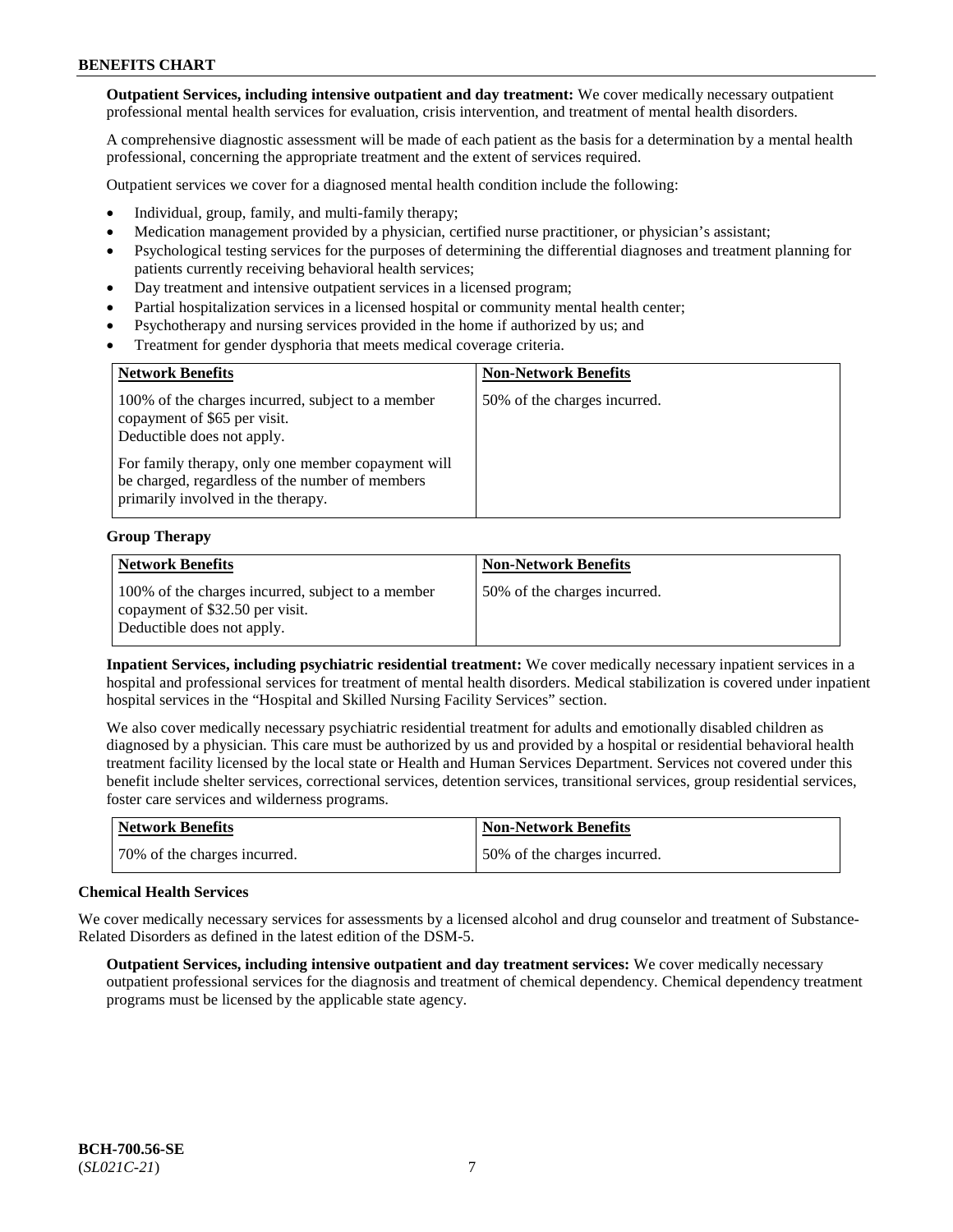**Outpatient Services, including intensive outpatient and day treatment:** We cover medically necessary outpatient professional mental health services for evaluation, crisis intervention, and treatment of mental health disorders.

A comprehensive diagnostic assessment will be made of each patient as the basis for a determination by a mental health professional, concerning the appropriate treatment and the extent of services required.

Outpatient services we cover for a diagnosed mental health condition include the following:

- Individual, group, family, and multi-family therapy;
- Medication management provided by a physician, certified nurse practitioner, or physician's assistant;
- Psychological testing services for the purposes of determining the differential diagnoses and treatment planning for patients currently receiving behavioral health services;
- Day treatment and intensive outpatient services in a licensed program;
- Partial hospitalization services in a licensed hospital or community mental health center;
- Psychotherapy and nursing services provided in the home if authorized by us; and
- Treatment for gender dysphoria that meets medical coverage criteria.

| <b>Network Benefits</b>                                                                                                                     | <b>Non-Network Benefits</b>  |
|---------------------------------------------------------------------------------------------------------------------------------------------|------------------------------|
| 100% of the charges incurred, subject to a member<br>copayment of \$65 per visit.<br>Deductible does not apply.                             | 50% of the charges incurred. |
| For family therapy, only one member copayment will<br>be charged, regardless of the number of members<br>primarily involved in the therapy. |                              |

#### **Group Therapy**

| <b>Network Benefits</b>                                                                                            | <b>Non-Network Benefits</b>  |
|--------------------------------------------------------------------------------------------------------------------|------------------------------|
| 100% of the charges incurred, subject to a member<br>copayment of \$32.50 per visit.<br>Deductible does not apply. | 50% of the charges incurred. |

**Inpatient Services, including psychiatric residential treatment:** We cover medically necessary inpatient services in a hospital and professional services for treatment of mental health disorders. Medical stabilization is covered under inpatient hospital services in the "Hospital and Skilled Nursing Facility Services" section.

We also cover medically necessary psychiatric residential treatment for adults and emotionally disabled children as diagnosed by a physician. This care must be authorized by us and provided by a hospital or residential behavioral health treatment facility licensed by the local state or Health and Human Services Department. Services not covered under this benefit include shelter services, correctional services, detention services, transitional services, group residential services, foster care services and wilderness programs.

| Network Benefits             | Non-Network Benefits         |
|------------------------------|------------------------------|
| 70% of the charges incurred. | 50% of the charges incurred. |

#### **Chemical Health Services**

We cover medically necessary services for assessments by a licensed alcohol and drug counselor and treatment of Substance-Related Disorders as defined in the latest edition of the DSM-5.

**Outpatient Services, including intensive outpatient and day treatment services:** We cover medically necessary outpatient professional services for the diagnosis and treatment of chemical dependency. Chemical dependency treatment programs must be licensed by the applicable state agency.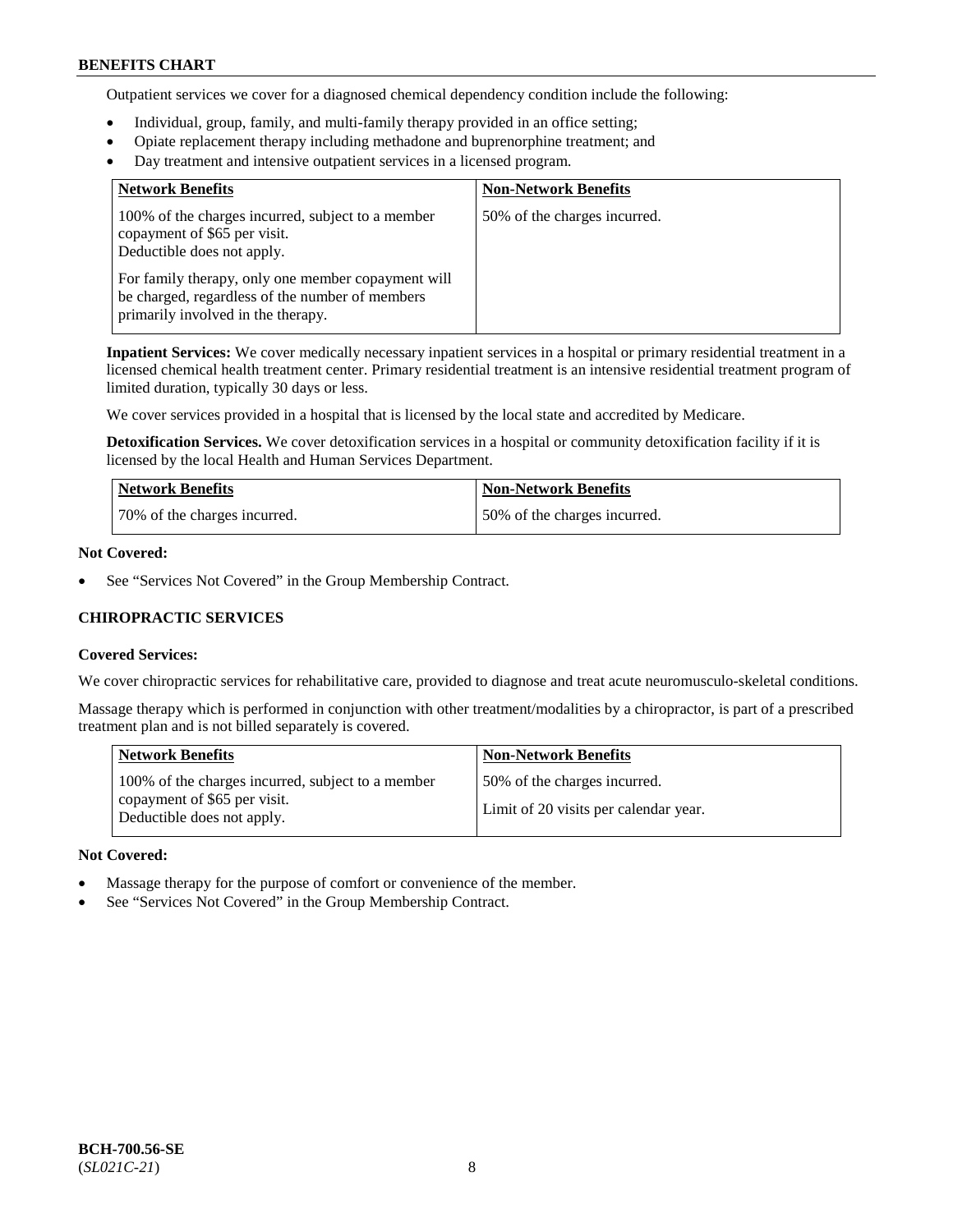Outpatient services we cover for a diagnosed chemical dependency condition include the following:

- Individual, group, family, and multi-family therapy provided in an office setting;
- Opiate replacement therapy including methadone and buprenorphine treatment; and
- Day treatment and intensive outpatient services in a licensed program.

| <b>Network Benefits</b>                                                                                                                     | <b>Non-Network Benefits</b>  |
|---------------------------------------------------------------------------------------------------------------------------------------------|------------------------------|
| 100% of the charges incurred, subject to a member<br>copayment of \$65 per visit.<br>Deductible does not apply.                             | 50% of the charges incurred. |
| For family therapy, only one member copayment will<br>be charged, regardless of the number of members<br>primarily involved in the therapy. |                              |

**Inpatient Services:** We cover medically necessary inpatient services in a hospital or primary residential treatment in a licensed chemical health treatment center. Primary residential treatment is an intensive residential treatment program of limited duration, typically 30 days or less.

We cover services provided in a hospital that is licensed by the local state and accredited by Medicare.

**Detoxification Services.** We cover detoxification services in a hospital or community detoxification facility if it is licensed by the local Health and Human Services Department.

| <b>Network Benefits</b>      | <b>Non-Network Benefits</b>  |
|------------------------------|------------------------------|
| 70% of the charges incurred. | 50% of the charges incurred. |

#### **Not Covered:**

See "Services Not Covered" in the Group Membership Contract.

# **CHIROPRACTIC SERVICES**

#### **Covered Services:**

We cover chiropractic services for rehabilitative care, provided to diagnose and treat acute neuromusculo-skeletal conditions.

Massage therapy which is performed in conjunction with other treatment/modalities by a chiropractor, is part of a prescribed treatment plan and is not billed separately is covered.

| <b>Network Benefits</b>                                                                                         | <b>Non-Network Benefits</b>                                           |
|-----------------------------------------------------------------------------------------------------------------|-----------------------------------------------------------------------|
| 100% of the charges incurred, subject to a member<br>copayment of \$65 per visit.<br>Deductible does not apply. | 50% of the charges incurred.<br>Limit of 20 visits per calendar year. |

#### **Not Covered:**

- Massage therapy for the purpose of comfort or convenience of the member.
- See "Services Not Covered" in the Group Membership Contract.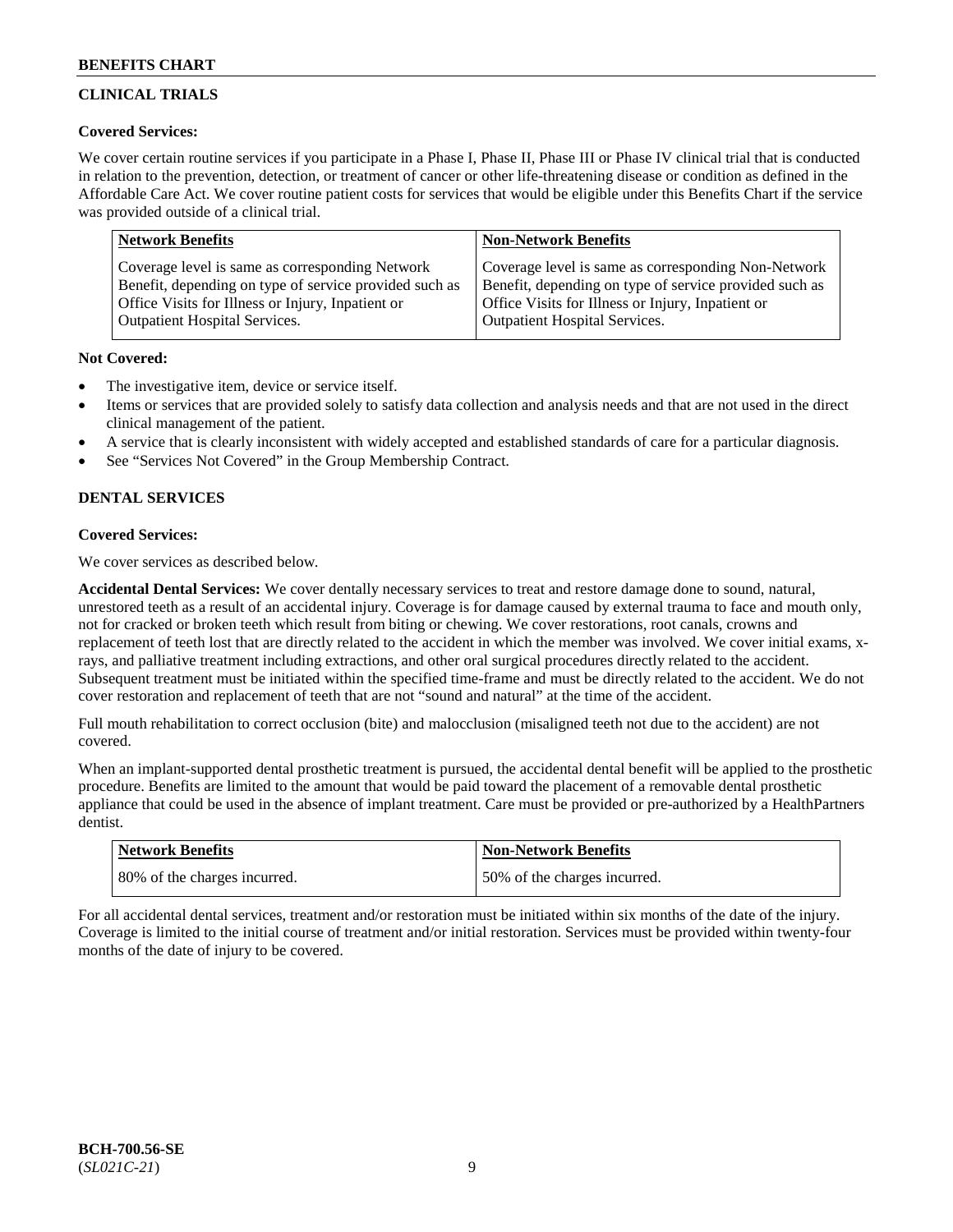# **CLINICAL TRIALS**

# **Covered Services:**

We cover certain routine services if you participate in a Phase I, Phase II, Phase III or Phase IV clinical trial that is conducted in relation to the prevention, detection, or treatment of cancer or other life-threatening disease or condition as defined in the Affordable Care Act. We cover routine patient costs for services that would be eligible under this Benefits Chart if the service was provided outside of a clinical trial.

| <b>Network Benefits</b>                                | <b>Non-Network Benefits</b>                            |
|--------------------------------------------------------|--------------------------------------------------------|
| Coverage level is same as corresponding Network        | Coverage level is same as corresponding Non-Network    |
| Benefit, depending on type of service provided such as | Benefit, depending on type of service provided such as |
| Office Visits for Illness or Injury, Inpatient or      | Office Visits for Illness or Injury, Inpatient or      |
| <b>Outpatient Hospital Services.</b>                   | Outpatient Hospital Services.                          |

# **Not Covered:**

- The investigative item, device or service itself.
- Items or services that are provided solely to satisfy data collection and analysis needs and that are not used in the direct clinical management of the patient.
- A service that is clearly inconsistent with widely accepted and established standards of care for a particular diagnosis.
- See "Services Not Covered" in the Group Membership Contract.

# **DENTAL SERVICES**

# **Covered Services:**

We cover services as described below.

**Accidental Dental Services:** We cover dentally necessary services to treat and restore damage done to sound, natural, unrestored teeth as a result of an accidental injury. Coverage is for damage caused by external trauma to face and mouth only, not for cracked or broken teeth which result from biting or chewing. We cover restorations, root canals, crowns and replacement of teeth lost that are directly related to the accident in which the member was involved. We cover initial exams, xrays, and palliative treatment including extractions, and other oral surgical procedures directly related to the accident. Subsequent treatment must be initiated within the specified time-frame and must be directly related to the accident. We do not cover restoration and replacement of teeth that are not "sound and natural" at the time of the accident.

Full mouth rehabilitation to correct occlusion (bite) and malocclusion (misaligned teeth not due to the accident) are not covered.

When an implant-supported dental prosthetic treatment is pursued, the accidental dental benefit will be applied to the prosthetic procedure. Benefits are limited to the amount that would be paid toward the placement of a removable dental prosthetic appliance that could be used in the absence of implant treatment. Care must be provided or pre-authorized by a HealthPartners dentist.

| <b>Network Benefits</b>      | <b>Non-Network Benefits</b>   |
|------------------------------|-------------------------------|
| 80% of the charges incurred. | 150% of the charges incurred. |

For all accidental dental services, treatment and/or restoration must be initiated within six months of the date of the injury. Coverage is limited to the initial course of treatment and/or initial restoration. Services must be provided within twenty-four months of the date of injury to be covered.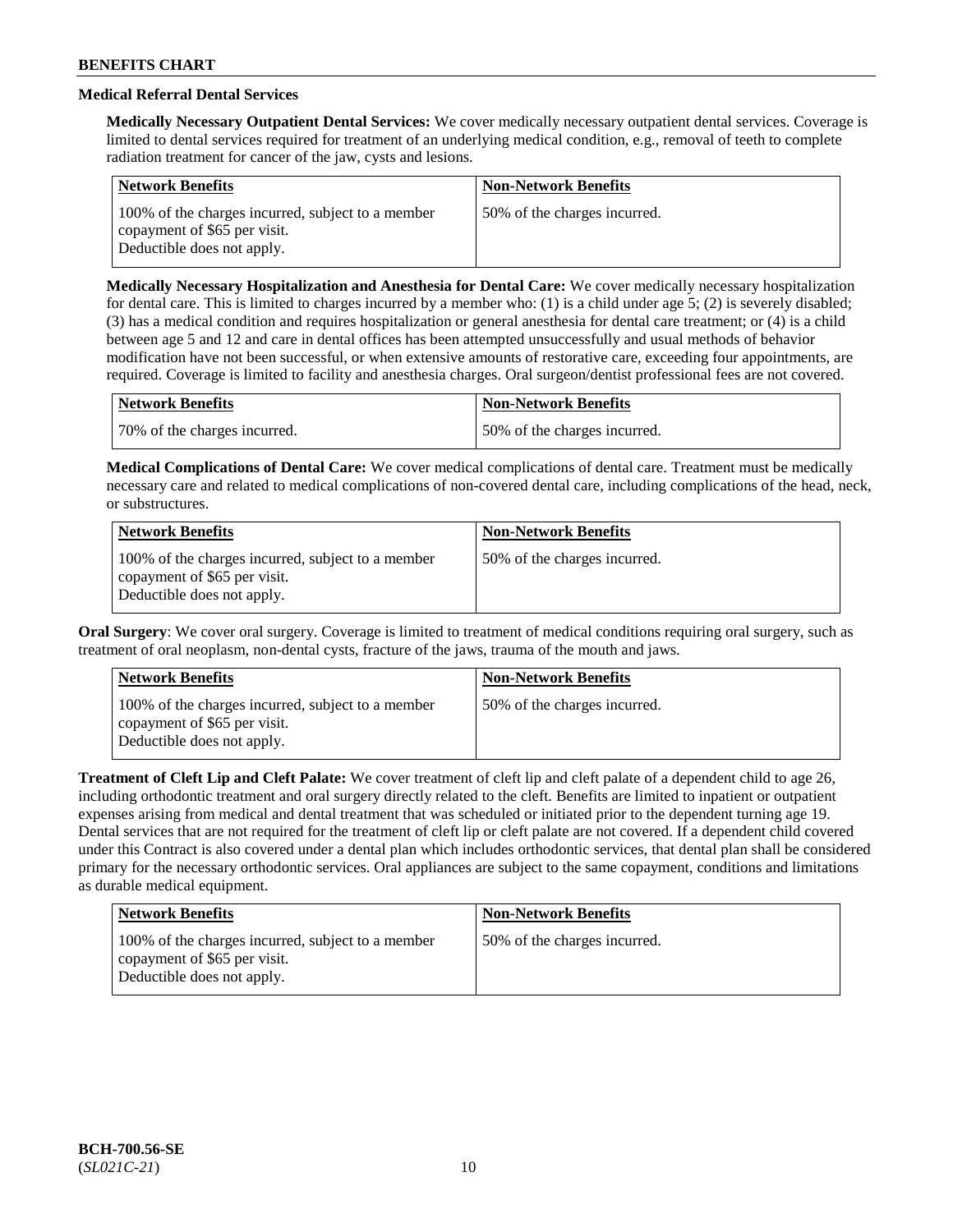# **Medical Referral Dental Services**

**Medically Necessary Outpatient Dental Services:** We cover medically necessary outpatient dental services. Coverage is limited to dental services required for treatment of an underlying medical condition, e.g., removal of teeth to complete radiation treatment for cancer of the jaw, cysts and lesions.

| <b>Network Benefits</b>                                                                                         | <b>Non-Network Benefits</b>  |
|-----------------------------------------------------------------------------------------------------------------|------------------------------|
| 100% of the charges incurred, subject to a member<br>copayment of \$65 per visit.<br>Deductible does not apply. | 50% of the charges incurred. |

**Medically Necessary Hospitalization and Anesthesia for Dental Care:** We cover medically necessary hospitalization for dental care. This is limited to charges incurred by a member who: (1) is a child under age  $5$ ; (2) is severely disabled; (3) has a medical condition and requires hospitalization or general anesthesia for dental care treatment; or (4) is a child between age 5 and 12 and care in dental offices has been attempted unsuccessfully and usual methods of behavior modification have not been successful, or when extensive amounts of restorative care, exceeding four appointments, are required. Coverage is limited to facility and anesthesia charges. Oral surgeon/dentist professional fees are not covered.

| <b>Network Benefits</b>      | Non-Network Benefits         |
|------------------------------|------------------------------|
| 70% of the charges incurred. | 50% of the charges incurred. |

**Medical Complications of Dental Care:** We cover medical complications of dental care. Treatment must be medically necessary care and related to medical complications of non-covered dental care, including complications of the head, neck, or substructures.

| <b>Network Benefits</b>                                                                                         | <b>Non-Network Benefits</b>  |
|-----------------------------------------------------------------------------------------------------------------|------------------------------|
| 100% of the charges incurred, subject to a member<br>copayment of \$65 per visit.<br>Deductible does not apply. | 50% of the charges incurred. |

**Oral Surgery**: We cover oral surgery. Coverage is limited to treatment of medical conditions requiring oral surgery, such as treatment of oral neoplasm, non-dental cysts, fracture of the jaws, trauma of the mouth and jaws.

| <b>Network Benefits</b>                                                                                         | <b>Non-Network Benefits</b>  |
|-----------------------------------------------------------------------------------------------------------------|------------------------------|
| 100% of the charges incurred, subject to a member<br>copayment of \$65 per visit.<br>Deductible does not apply. | 50% of the charges incurred. |

**Treatment of Cleft Lip and Cleft Palate:** We cover treatment of cleft lip and cleft palate of a dependent child to age 26, including orthodontic treatment and oral surgery directly related to the cleft. Benefits are limited to inpatient or outpatient expenses arising from medical and dental treatment that was scheduled or initiated prior to the dependent turning age 19. Dental services that are not required for the treatment of cleft lip or cleft palate are not covered. If a dependent child covered under this Contract is also covered under a dental plan which includes orthodontic services, that dental plan shall be considered primary for the necessary orthodontic services. Oral appliances are subject to the same copayment, conditions and limitations as durable medical equipment.

| <b>Network Benefits</b>                                                                                         | <b>Non-Network Benefits</b>  |
|-----------------------------------------------------------------------------------------------------------------|------------------------------|
| 100% of the charges incurred, subject to a member<br>copayment of \$65 per visit.<br>Deductible does not apply. | 50% of the charges incurred. |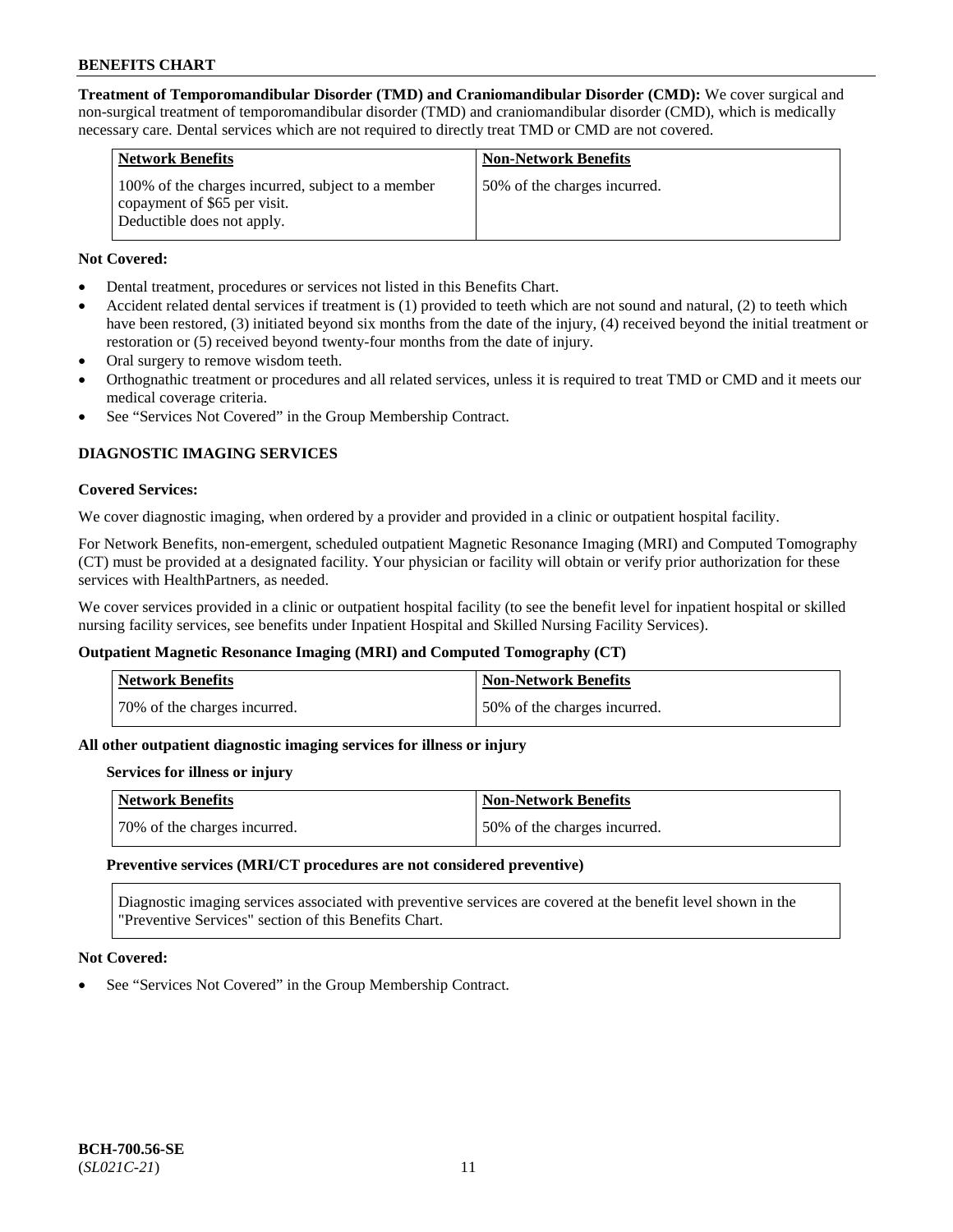**Treatment of Temporomandibular Disorder (TMD) and Craniomandibular Disorder (CMD):** We cover surgical and non-surgical treatment of temporomandibular disorder (TMD) and craniomandibular disorder (CMD), which is medically necessary care. Dental services which are not required to directly treat TMD or CMD are not covered.

| <b>Network Benefits</b>                                                                                         | <b>Non-Network Benefits</b>  |
|-----------------------------------------------------------------------------------------------------------------|------------------------------|
| 100% of the charges incurred, subject to a member<br>copayment of \$65 per visit.<br>Deductible does not apply. | 50% of the charges incurred. |

# **Not Covered:**

- Dental treatment, procedures or services not listed in this Benefits Chart.
- Accident related dental services if treatment is (1) provided to teeth which are not sound and natural, (2) to teeth which have been restored, (3) initiated beyond six months from the date of the injury, (4) received beyond the initial treatment or restoration or (5) received beyond twenty-four months from the date of injury.
- Oral surgery to remove wisdom teeth.
- Orthognathic treatment or procedures and all related services, unless it is required to treat TMD or CMD and it meets our medical coverage criteria.
- See "Services Not Covered" in the Group Membership Contract.

# **DIAGNOSTIC IMAGING SERVICES**

#### **Covered Services:**

We cover diagnostic imaging, when ordered by a provider and provided in a clinic or outpatient hospital facility.

For Network Benefits, non-emergent, scheduled outpatient Magnetic Resonance Imaging (MRI) and Computed Tomography (CT) must be provided at a designated facility. Your physician or facility will obtain or verify prior authorization for these services with HealthPartners, as needed.

We cover services provided in a clinic or outpatient hospital facility (to see the benefit level for inpatient hospital or skilled nursing facility services, see benefits under Inpatient Hospital and Skilled Nursing Facility Services).

# **Outpatient Magnetic Resonance Imaging (MRI) and Computed Tomography (CT)**

| Network Benefits             | <b>Non-Network Benefits</b>  |
|------------------------------|------------------------------|
| 70% of the charges incurred. | 50% of the charges incurred. |

# **All other outpatient diagnostic imaging services for illness or injury**

#### **Services for illness or injury**

| <b>Network Benefits</b>      | Non-Network Benefits         |
|------------------------------|------------------------------|
| 70% of the charges incurred. | 50% of the charges incurred. |

#### **Preventive services (MRI/CT procedures are not considered preventive)**

Diagnostic imaging services associated with preventive services are covered at the benefit level shown in the "Preventive Services" section of this Benefits Chart.

#### **Not Covered:**

See "Services Not Covered" in the Group Membership Contract.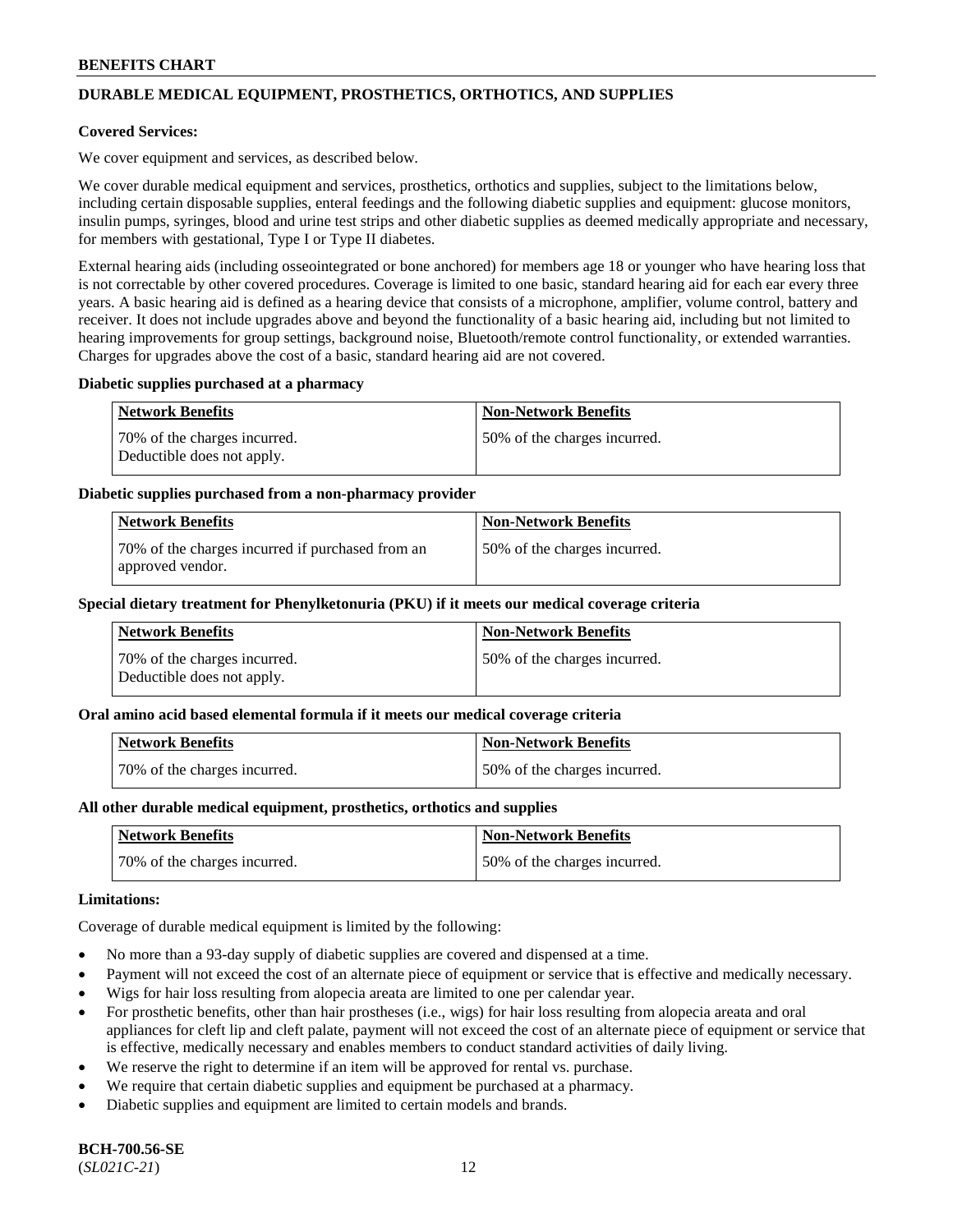# **DURABLE MEDICAL EQUIPMENT, PROSTHETICS, ORTHOTICS, AND SUPPLIES**

### **Covered Services:**

We cover equipment and services, as described below.

We cover durable medical equipment and services, prosthetics, orthotics and supplies, subject to the limitations below, including certain disposable supplies, enteral feedings and the following diabetic supplies and equipment: glucose monitors, insulin pumps, syringes, blood and urine test strips and other diabetic supplies as deemed medically appropriate and necessary, for members with gestational, Type I or Type II diabetes.

External hearing aids (including osseointegrated or bone anchored) for members age 18 or younger who have hearing loss that is not correctable by other covered procedures. Coverage is limited to one basic, standard hearing aid for each ear every three years. A basic hearing aid is defined as a hearing device that consists of a microphone, amplifier, volume control, battery and receiver. It does not include upgrades above and beyond the functionality of a basic hearing aid, including but not limited to hearing improvements for group settings, background noise, Bluetooth/remote control functionality, or extended warranties. Charges for upgrades above the cost of a basic, standard hearing aid are not covered.

#### **Diabetic supplies purchased at a pharmacy**

| <b>Network Benefits</b>                                    | <b>Non-Network Benefits</b>   |
|------------------------------------------------------------|-------------------------------|
| 70% of the charges incurred.<br>Deductible does not apply. | 50\% of the charges incurred. |

#### **Diabetic supplies purchased from a non-pharmacy provider**

| <b>Network Benefits</b>                                              | <b>Non-Network Benefits</b>  |
|----------------------------------------------------------------------|------------------------------|
| 70% of the charges incurred if purchased from an<br>approved vendor. | 50% of the charges incurred. |

#### **Special dietary treatment for Phenylketonuria (PKU) if it meets our medical coverage criteria**

| Network Benefits                                           | <b>Non-Network Benefits</b>   |
|------------------------------------------------------------|-------------------------------|
| 70% of the charges incurred.<br>Deductible does not apply. | 150% of the charges incurred. |

#### **Oral amino acid based elemental formula if it meets our medical coverage criteria**

| <b>Network Benefits</b>      | <b>Non-Network Benefits</b>  |
|------------------------------|------------------------------|
| 70% of the charges incurred. | 50% of the charges incurred. |

#### **All other durable medical equipment, prosthetics, orthotics and supplies**

| Network Benefits             | <b>Non-Network Benefits</b>  |
|------------------------------|------------------------------|
| 70% of the charges incurred. | 50% of the charges incurred. |

#### **Limitations:**

Coverage of durable medical equipment is limited by the following:

- No more than a 93-day supply of diabetic supplies are covered and dispensed at a time.
- Payment will not exceed the cost of an alternate piece of equipment or service that is effective and medically necessary.
- Wigs for hair loss resulting from alopecia areata are limited to one per calendar year.
- For prosthetic benefits, other than hair prostheses (i.e., wigs) for hair loss resulting from alopecia areata and oral appliances for cleft lip and cleft palate, payment will not exceed the cost of an alternate piece of equipment or service that is effective, medically necessary and enables members to conduct standard activities of daily living.
- We reserve the right to determine if an item will be approved for rental vs. purchase.
- We require that certain diabetic supplies and equipment be purchased at a pharmacy.
- Diabetic supplies and equipment are limited to certain models and brands.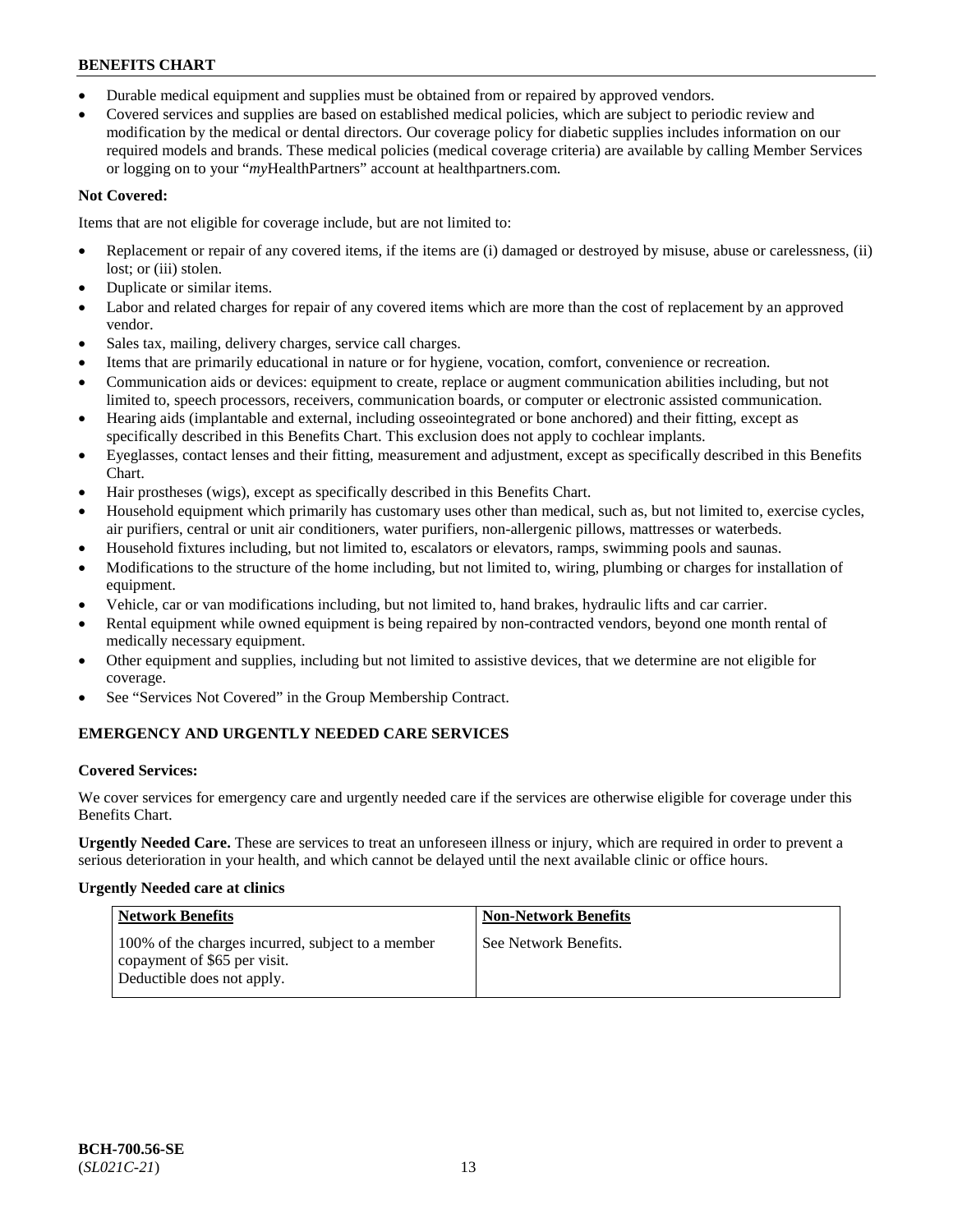- Durable medical equipment and supplies must be obtained from or repaired by approved vendors.
- Covered services and supplies are based on established medical policies, which are subject to periodic review and modification by the medical or dental directors. Our coverage policy for diabetic supplies includes information on our required models and brands. These medical policies (medical coverage criteria) are available by calling Member Services or logging on to your "*my*HealthPartners" account a[t healthpartners.com.](https://www.healthpartners.com/hp/index.html)

# **Not Covered:**

Items that are not eligible for coverage include, but are not limited to:

- Replacement or repair of any covered items, if the items are (i) damaged or destroyed by misuse, abuse or carelessness, (ii) lost; or (iii) stolen.
- Duplicate or similar items.
- Labor and related charges for repair of any covered items which are more than the cost of replacement by an approved vendor.
- Sales tax, mailing, delivery charges, service call charges.
- Items that are primarily educational in nature or for hygiene, vocation, comfort, convenience or recreation.
- Communication aids or devices: equipment to create, replace or augment communication abilities including, but not limited to, speech processors, receivers, communication boards, or computer or electronic assisted communication.
- Hearing aids (implantable and external, including osseointegrated or bone anchored) and their fitting, except as specifically described in this Benefits Chart. This exclusion does not apply to cochlear implants.
- Eyeglasses, contact lenses and their fitting, measurement and adjustment, except as specifically described in this Benefits Chart.
- Hair prostheses (wigs), except as specifically described in this Benefits Chart.
- Household equipment which primarily has customary uses other than medical, such as, but not limited to, exercise cycles, air purifiers, central or unit air conditioners, water purifiers, non-allergenic pillows, mattresses or waterbeds.
- Household fixtures including, but not limited to, escalators or elevators, ramps, swimming pools and saunas.
- Modifications to the structure of the home including, but not limited to, wiring, plumbing or charges for installation of equipment.
- Vehicle, car or van modifications including, but not limited to, hand brakes, hydraulic lifts and car carrier.
- Rental equipment while owned equipment is being repaired by non-contracted vendors, beyond one month rental of medically necessary equipment.
- Other equipment and supplies, including but not limited to assistive devices, that we determine are not eligible for coverage.
- See "Services Not Covered" in the Group Membership Contract.

# **EMERGENCY AND URGENTLY NEEDED CARE SERVICES**

# **Covered Services:**

We cover services for emergency care and urgently needed care if the services are otherwise eligible for coverage under this Benefits Chart.

**Urgently Needed Care.** These are services to treat an unforeseen illness or injury, which are required in order to prevent a serious deterioration in your health, and which cannot be delayed until the next available clinic or office hours.

# **Urgently Needed care at clinics**

| <b>Network Benefits</b>                                                                                         | <b>Non-Network Benefits</b> |
|-----------------------------------------------------------------------------------------------------------------|-----------------------------|
| 100% of the charges incurred, subject to a member<br>copayment of \$65 per visit.<br>Deductible does not apply. | See Network Benefits.       |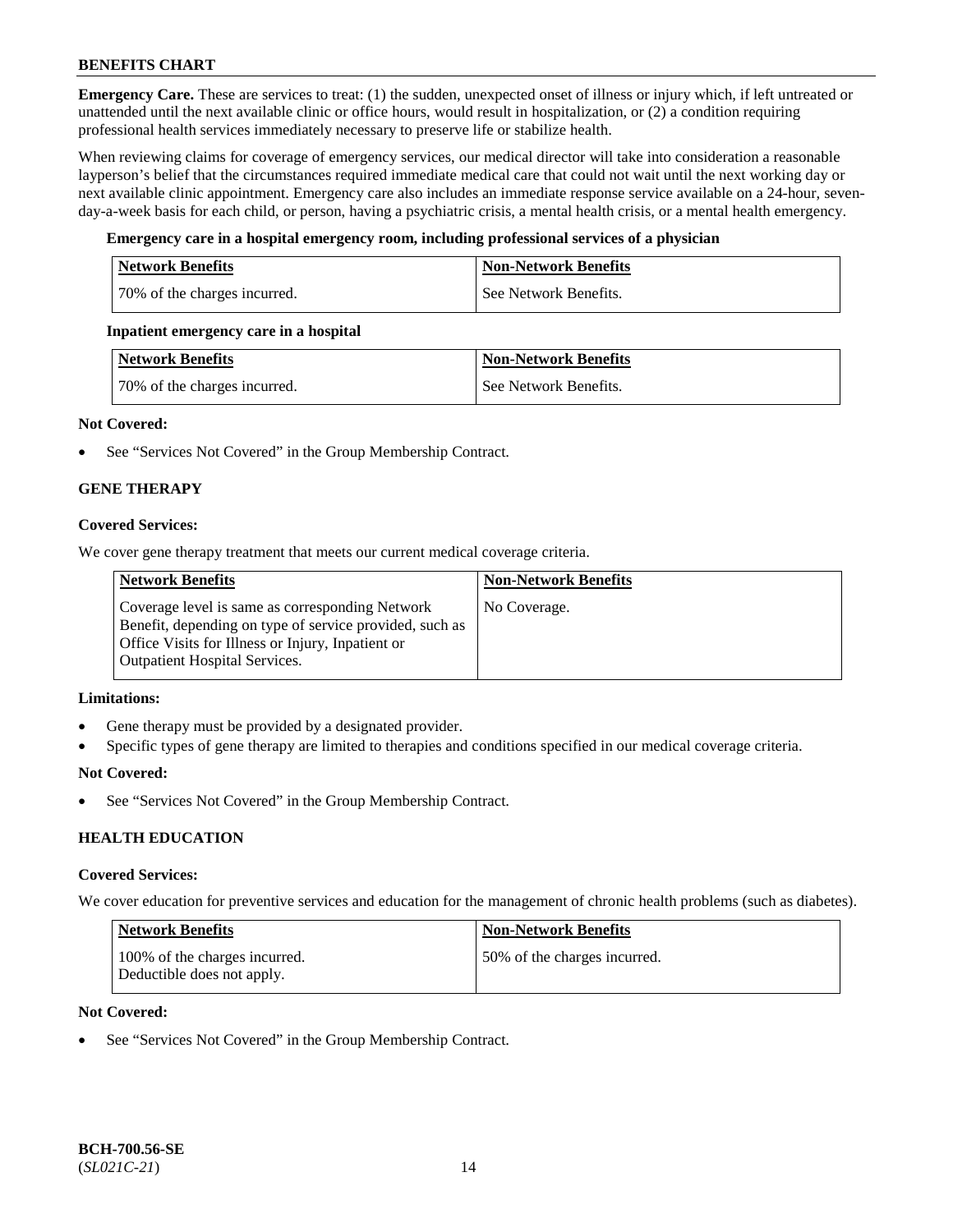**Emergency Care.** These are services to treat: (1) the sudden, unexpected onset of illness or injury which, if left untreated or unattended until the next available clinic or office hours, would result in hospitalization, or (2) a condition requiring professional health services immediately necessary to preserve life or stabilize health.

When reviewing claims for coverage of emergency services, our medical director will take into consideration a reasonable layperson's belief that the circumstances required immediate medical care that could not wait until the next working day or next available clinic appointment. Emergency care also includes an immediate response service available on a 24-hour, sevenday-a-week basis for each child, or person, having a psychiatric crisis, a mental health crisis, or a mental health emergency.

# **Emergency care in a hospital emergency room, including professional services of a physician**

| <b>Network Benefits</b>      | <b>Non-Network Benefits</b> |
|------------------------------|-----------------------------|
| 70% of the charges incurred. | See Network Benefits.       |

# **Inpatient emergency care in a hospital**

| Network Benefits             | <b>Non-Network Benefits</b> |
|------------------------------|-----------------------------|
| 70% of the charges incurred. | See Network Benefits.       |

# **Not Covered:**

• See "Services Not Covered" in the Group Membership Contract.

# **GENE THERAPY**

# **Covered Services:**

We cover gene therapy treatment that meets our current medical coverage criteria.

| <b>Network Benefits</b>                                                                                                                                                                                 | <b>Non-Network Benefits</b> |
|---------------------------------------------------------------------------------------------------------------------------------------------------------------------------------------------------------|-----------------------------|
| Coverage level is same as corresponding Network<br>Benefit, depending on type of service provided, such as<br>Office Visits for Illness or Injury, Inpatient or<br><b>Outpatient Hospital Services.</b> | No Coverage.                |

#### **Limitations:**

- Gene therapy must be provided by a designated provider.
- Specific types of gene therapy are limited to therapies and conditions specified in our medical coverage criteria.

#### **Not Covered:**

See "Services Not Covered" in the Group Membership Contract.

# **HEALTH EDUCATION**

#### **Covered Services:**

We cover education for preventive services and education for the management of chronic health problems (such as diabetes).

| Network Benefits                                            | <b>Non-Network Benefits</b>  |
|-------------------------------------------------------------|------------------------------|
| 100% of the charges incurred.<br>Deductible does not apply. | 50% of the charges incurred. |

### **Not Covered:**

See "Services Not Covered" in the Group Membership Contract.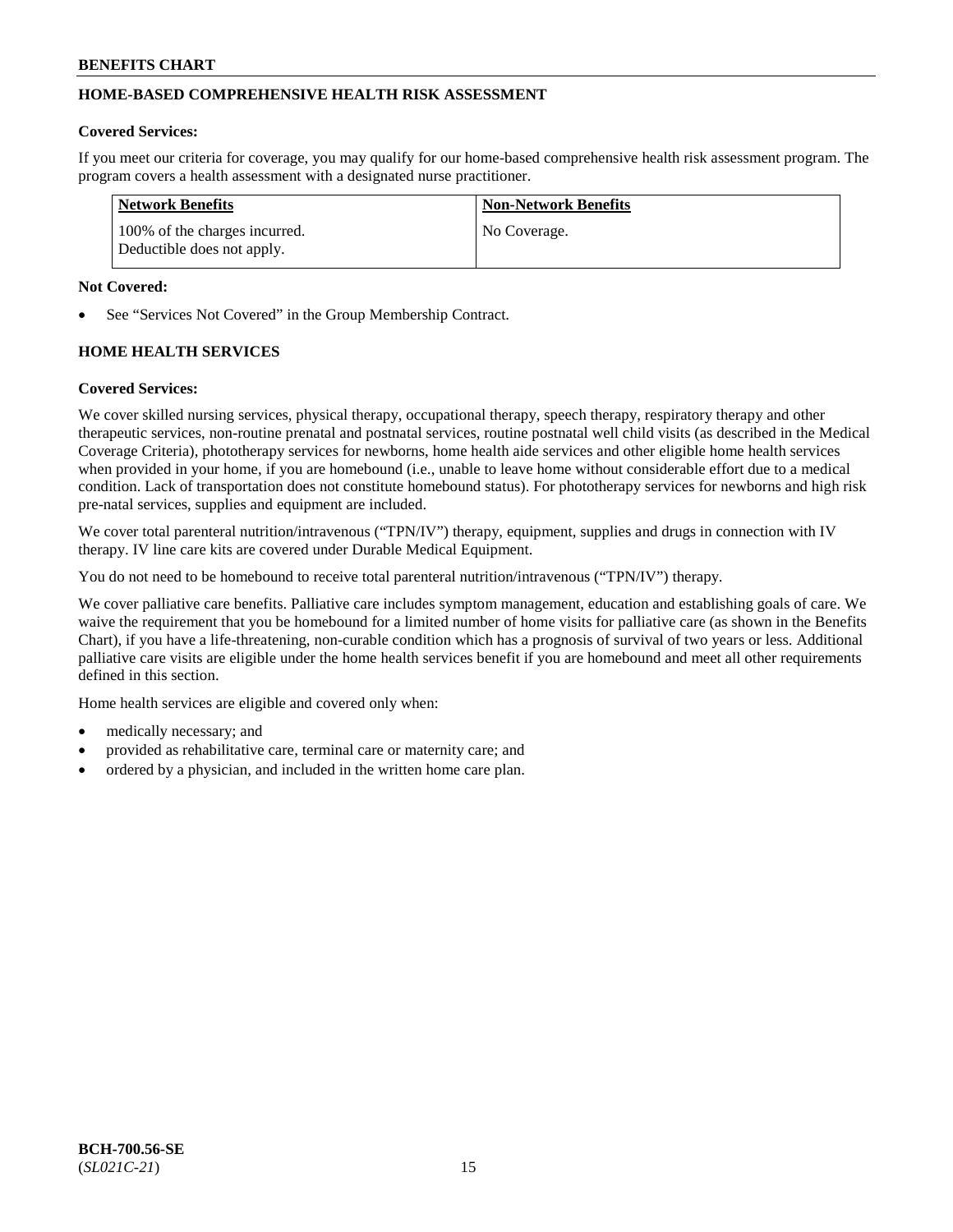# **HOME-BASED COMPREHENSIVE HEALTH RISK ASSESSMENT**

#### **Covered Services:**

If you meet our criteria for coverage, you may qualify for our home-based comprehensive health risk assessment program. The program covers a health assessment with a designated nurse practitioner.

| <b>Network Benefits</b>                                     | <b>Non-Network Benefits</b> |
|-------------------------------------------------------------|-----------------------------|
| 100% of the charges incurred.<br>Deductible does not apply. | No Coverage.                |

#### **Not Covered:**

See "Services Not Covered" in the Group Membership Contract.

# **HOME HEALTH SERVICES**

#### **Covered Services:**

We cover skilled nursing services, physical therapy, occupational therapy, speech therapy, respiratory therapy and other therapeutic services, non-routine prenatal and postnatal services, routine postnatal well child visits (as described in the Medical Coverage Criteria), phototherapy services for newborns, home health aide services and other eligible home health services when provided in your home, if you are homebound (i.e., unable to leave home without considerable effort due to a medical condition. Lack of transportation does not constitute homebound status). For phototherapy services for newborns and high risk pre-natal services, supplies and equipment are included.

We cover total parenteral nutrition/intravenous ("TPN/IV") therapy, equipment, supplies and drugs in connection with IV therapy. IV line care kits are covered under Durable Medical Equipment.

You do not need to be homebound to receive total parenteral nutrition/intravenous ("TPN/IV") therapy.

We cover palliative care benefits. Palliative care includes symptom management, education and establishing goals of care. We waive the requirement that you be homebound for a limited number of home visits for palliative care (as shown in the Benefits Chart), if you have a life-threatening, non-curable condition which has a prognosis of survival of two years or less. Additional palliative care visits are eligible under the home health services benefit if you are homebound and meet all other requirements defined in this section.

Home health services are eligible and covered only when:

- medically necessary; and
- provided as rehabilitative care, terminal care or maternity care; and
- ordered by a physician, and included in the written home care plan.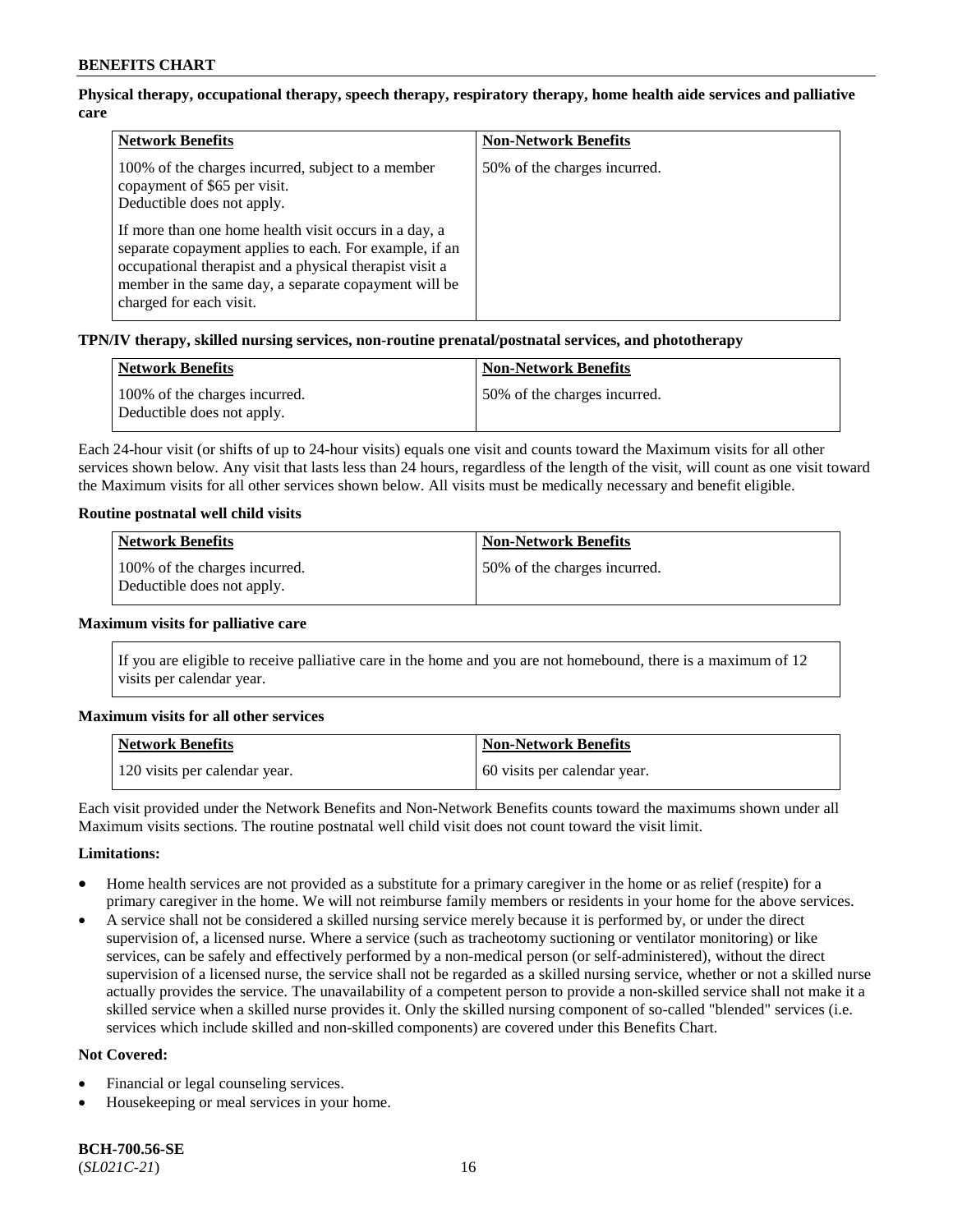# **Physical therapy, occupational therapy, speech therapy, respiratory therapy, home health aide services and palliative care**

| <b>Network Benefits</b>                                                                                                                                                                                                                                       | <b>Non-Network Benefits</b>  |
|---------------------------------------------------------------------------------------------------------------------------------------------------------------------------------------------------------------------------------------------------------------|------------------------------|
| 100% of the charges incurred, subject to a member<br>copayment of \$65 per visit.<br>Deductible does not apply.                                                                                                                                               | 50% of the charges incurred. |
| If more than one home health visit occurs in a day, a<br>separate copayment applies to each. For example, if an<br>occupational therapist and a physical therapist visit a<br>member in the same day, a separate copayment will be<br>charged for each visit. |                              |

# **TPN/IV therapy, skilled nursing services, non-routine prenatal/postnatal services, and phototherapy**

| <b>Network Benefits</b>                                     | <b>Non-Network Benefits</b>  |
|-------------------------------------------------------------|------------------------------|
| 100% of the charges incurred.<br>Deductible does not apply. | 50% of the charges incurred. |

Each 24-hour visit (or shifts of up to 24-hour visits) equals one visit and counts toward the Maximum visits for all other services shown below. Any visit that lasts less than 24 hours, regardless of the length of the visit, will count as one visit toward the Maximum visits for all other services shown below. All visits must be medically necessary and benefit eligible.

#### **Routine postnatal well child visits**

| <b>Network Benefits</b>                                     | <b>Non-Network Benefits</b>   |
|-------------------------------------------------------------|-------------------------------|
| 100% of the charges incurred.<br>Deductible does not apply. | 150% of the charges incurred. |

#### **Maximum visits for palliative care**

If you are eligible to receive palliative care in the home and you are not homebound, there is a maximum of 12 visits per calendar year.

#### **Maximum visits for all other services**

| <b>Network Benefits</b>       | <b>Non-Network Benefits</b>  |
|-------------------------------|------------------------------|
| 120 visits per calendar year. | 60 visits per calendar year. |

Each visit provided under the Network Benefits and Non-Network Benefits counts toward the maximums shown under all Maximum visits sections. The routine postnatal well child visit does not count toward the visit limit.

#### **Limitations:**

- Home health services are not provided as a substitute for a primary caregiver in the home or as relief (respite) for a primary caregiver in the home. We will not reimburse family members or residents in your home for the above services.
- A service shall not be considered a skilled nursing service merely because it is performed by, or under the direct supervision of, a licensed nurse. Where a service (such as tracheotomy suctioning or ventilator monitoring) or like services, can be safely and effectively performed by a non-medical person (or self-administered), without the direct supervision of a licensed nurse, the service shall not be regarded as a skilled nursing service, whether or not a skilled nurse actually provides the service. The unavailability of a competent person to provide a non-skilled service shall not make it a skilled service when a skilled nurse provides it. Only the skilled nursing component of so-called "blended" services (i.e. services which include skilled and non-skilled components) are covered under this Benefits Chart.

#### **Not Covered:**

- Financial or legal counseling services.
- Housekeeping or meal services in your home.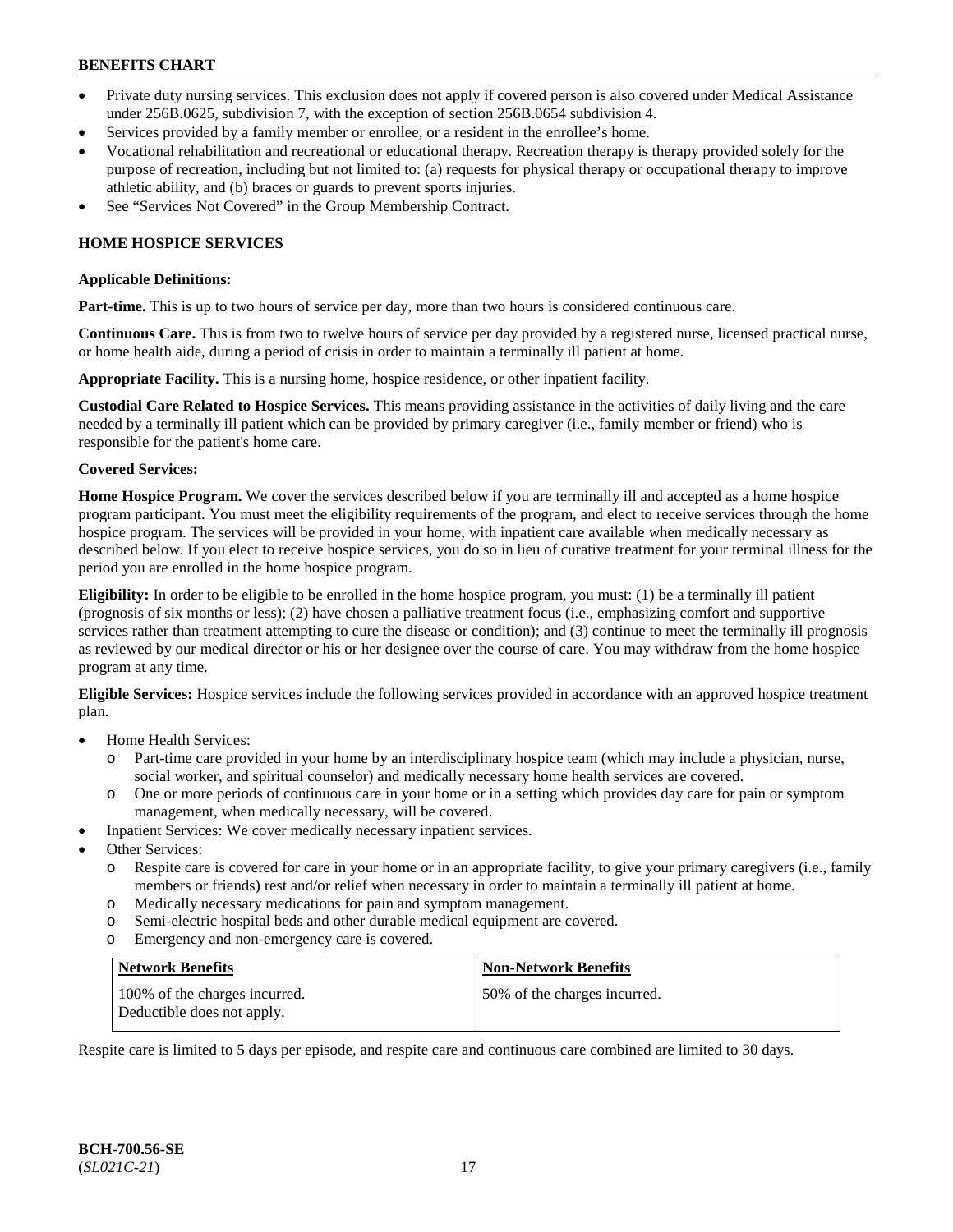- Private duty nursing services. This exclusion does not apply if covered person is also covered under Medical Assistance under 256B.0625, subdivision 7, with the exception of section 256B.0654 subdivision 4.
- Services provided by a family member or enrollee, or a resident in the enrollee's home.
- Vocational rehabilitation and recreational or educational therapy. Recreation therapy is therapy provided solely for the purpose of recreation, including but not limited to: (a) requests for physical therapy or occupational therapy to improve athletic ability, and (b) braces or guards to prevent sports injuries.
- See "Services Not Covered" in the Group Membership Contract.

# **HOME HOSPICE SERVICES**

#### **Applicable Definitions:**

**Part-time.** This is up to two hours of service per day, more than two hours is considered continuous care.

**Continuous Care.** This is from two to twelve hours of service per day provided by a registered nurse, licensed practical nurse, or home health aide, during a period of crisis in order to maintain a terminally ill patient at home.

**Appropriate Facility.** This is a nursing home, hospice residence, or other inpatient facility.

**Custodial Care Related to Hospice Services.** This means providing assistance in the activities of daily living and the care needed by a terminally ill patient which can be provided by primary caregiver (i.e., family member or friend) who is responsible for the patient's home care.

#### **Covered Services:**

**Home Hospice Program.** We cover the services described below if you are terminally ill and accepted as a home hospice program participant. You must meet the eligibility requirements of the program, and elect to receive services through the home hospice program. The services will be provided in your home, with inpatient care available when medically necessary as described below. If you elect to receive hospice services, you do so in lieu of curative treatment for your terminal illness for the period you are enrolled in the home hospice program.

**Eligibility:** In order to be eligible to be enrolled in the home hospice program, you must: (1) be a terminally ill patient (prognosis of six months or less); (2) have chosen a palliative treatment focus (i.e., emphasizing comfort and supportive services rather than treatment attempting to cure the disease or condition); and (3) continue to meet the terminally ill prognosis as reviewed by our medical director or his or her designee over the course of care. You may withdraw from the home hospice program at any time.

**Eligible Services:** Hospice services include the following services provided in accordance with an approved hospice treatment plan.

- Home Health Services:
	- o Part-time care provided in your home by an interdisciplinary hospice team (which may include a physician, nurse, social worker, and spiritual counselor) and medically necessary home health services are covered.
	- o One or more periods of continuous care in your home or in a setting which provides day care for pain or symptom management, when medically necessary, will be covered.
- Inpatient Services: We cover medically necessary inpatient services.
- Other Services:
	- o Respite care is covered for care in your home or in an appropriate facility, to give your primary caregivers (i.e., family members or friends) rest and/or relief when necessary in order to maintain a terminally ill patient at home.
	- o Medically necessary medications for pain and symptom management.
	- o Semi-electric hospital beds and other durable medical equipment are covered.
	- o Emergency and non-emergency care is covered.

| Network Benefits                                            | <b>Non-Network Benefits</b>  |
|-------------------------------------------------------------|------------------------------|
| 100% of the charges incurred.<br>Deductible does not apply. | 50% of the charges incurred. |

Respite care is limited to 5 days per episode, and respite care and continuous care combined are limited to 30 days.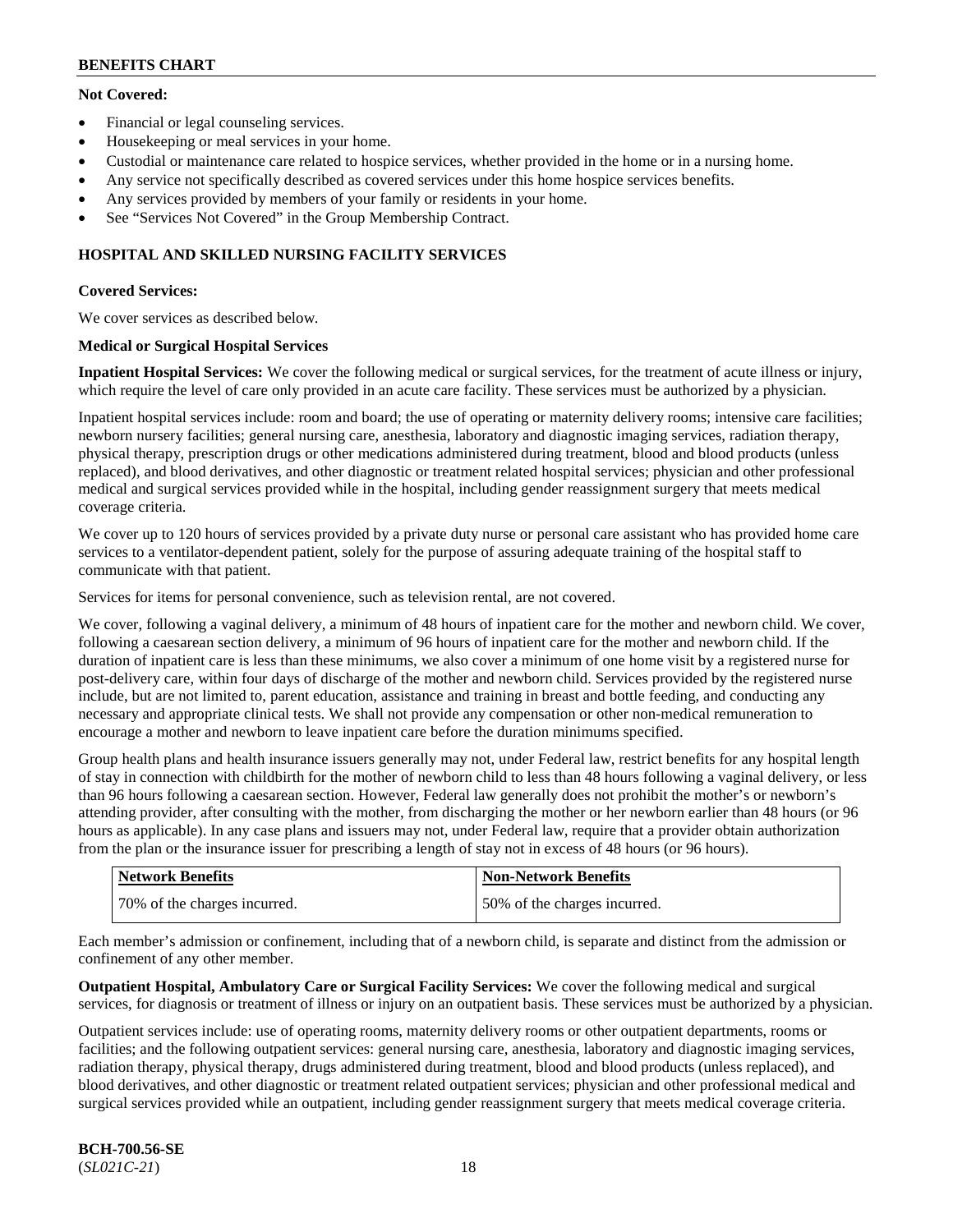# **Not Covered:**

- Financial or legal counseling services.
- Housekeeping or meal services in your home.
- Custodial or maintenance care related to hospice services, whether provided in the home or in a nursing home.
- Any service not specifically described as covered services under this home hospice services benefits.
- Any services provided by members of your family or residents in your home.
- See "Services Not Covered" in the Group Membership Contract.

# **HOSPITAL AND SKILLED NURSING FACILITY SERVICES**

# **Covered Services:**

We cover services as described below.

# **Medical or Surgical Hospital Services**

**Inpatient Hospital Services:** We cover the following medical or surgical services, for the treatment of acute illness or injury, which require the level of care only provided in an acute care facility. These services must be authorized by a physician.

Inpatient hospital services include: room and board; the use of operating or maternity delivery rooms; intensive care facilities; newborn nursery facilities; general nursing care, anesthesia, laboratory and diagnostic imaging services, radiation therapy, physical therapy, prescription drugs or other medications administered during treatment, blood and blood products (unless replaced), and blood derivatives, and other diagnostic or treatment related hospital services; physician and other professional medical and surgical services provided while in the hospital, including gender reassignment surgery that meets medical coverage criteria.

We cover up to 120 hours of services provided by a private duty nurse or personal care assistant who has provided home care services to a ventilator-dependent patient, solely for the purpose of assuring adequate training of the hospital staff to communicate with that patient.

Services for items for personal convenience, such as television rental, are not covered.

We cover, following a vaginal delivery, a minimum of 48 hours of inpatient care for the mother and newborn child. We cover, following a caesarean section delivery, a minimum of 96 hours of inpatient care for the mother and newborn child. If the duration of inpatient care is less than these minimums, we also cover a minimum of one home visit by a registered nurse for post-delivery care, within four days of discharge of the mother and newborn child. Services provided by the registered nurse include, but are not limited to, parent education, assistance and training in breast and bottle feeding, and conducting any necessary and appropriate clinical tests. We shall not provide any compensation or other non-medical remuneration to encourage a mother and newborn to leave inpatient care before the duration minimums specified.

Group health plans and health insurance issuers generally may not, under Federal law, restrict benefits for any hospital length of stay in connection with childbirth for the mother of newborn child to less than 48 hours following a vaginal delivery, or less than 96 hours following a caesarean section. However, Federal law generally does not prohibit the mother's or newborn's attending provider, after consulting with the mother, from discharging the mother or her newborn earlier than 48 hours (or 96 hours as applicable). In any case plans and issuers may not, under Federal law, require that a provider obtain authorization from the plan or the insurance issuer for prescribing a length of stay not in excess of 48 hours (or 96 hours).

| <b>Network Benefits</b>      | <b>Non-Network Benefits</b>  |
|------------------------------|------------------------------|
| 70% of the charges incurred. | 50% of the charges incurred. |

Each member's admission or confinement, including that of a newborn child, is separate and distinct from the admission or confinement of any other member.

**Outpatient Hospital, Ambulatory Care or Surgical Facility Services:** We cover the following medical and surgical services, for diagnosis or treatment of illness or injury on an outpatient basis. These services must be authorized by a physician.

Outpatient services include: use of operating rooms, maternity delivery rooms or other outpatient departments, rooms or facilities; and the following outpatient services: general nursing care, anesthesia, laboratory and diagnostic imaging services, radiation therapy, physical therapy, drugs administered during treatment, blood and blood products (unless replaced), and blood derivatives, and other diagnostic or treatment related outpatient services; physician and other professional medical and surgical services provided while an outpatient, including gender reassignment surgery that meets medical coverage criteria.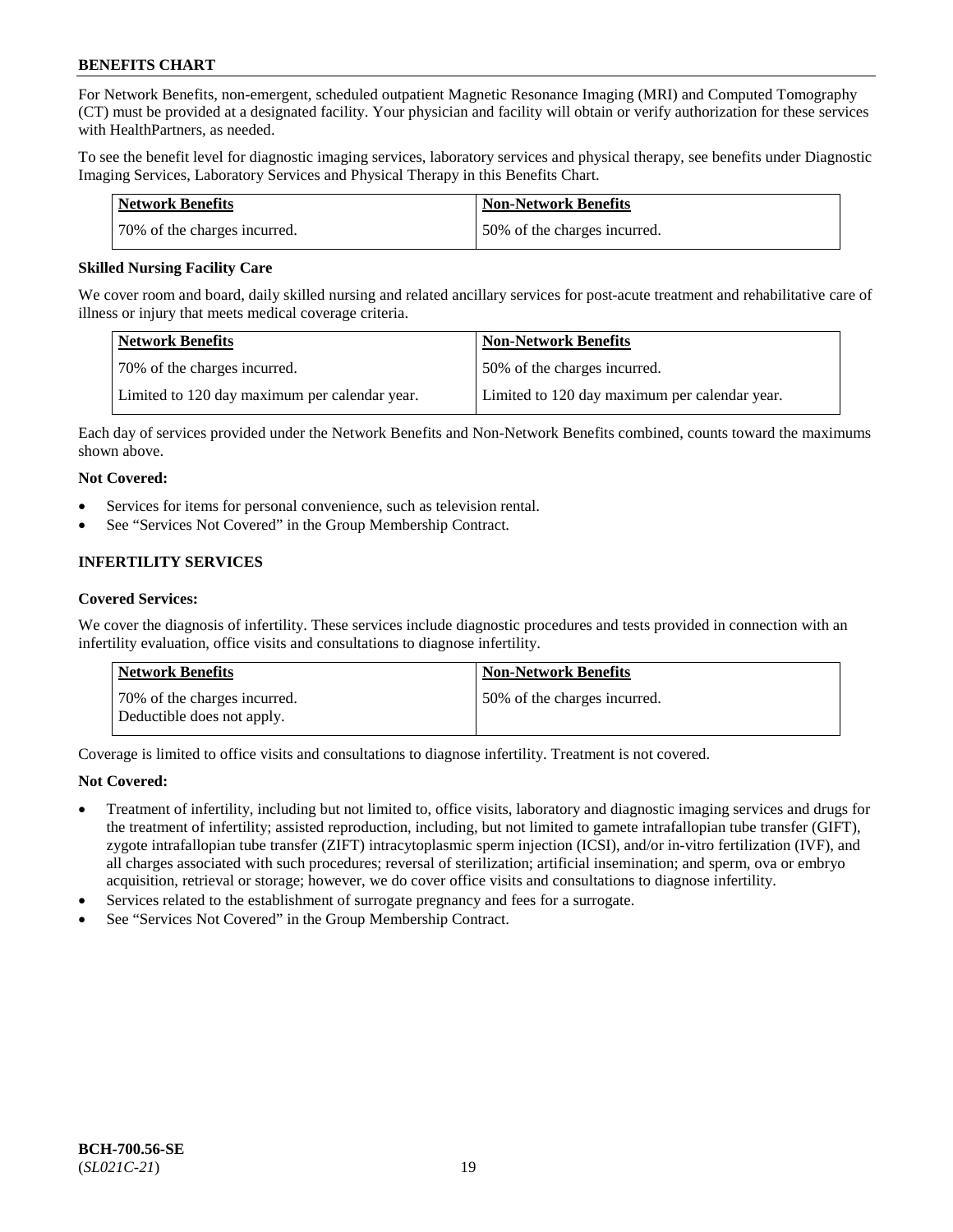For Network Benefits, non-emergent, scheduled outpatient Magnetic Resonance Imaging (MRI) and Computed Tomography (CT) must be provided at a designated facility. Your physician and facility will obtain or verify authorization for these services with HealthPartners, as needed.

To see the benefit level for diagnostic imaging services, laboratory services and physical therapy, see benefits under Diagnostic Imaging Services, Laboratory Services and Physical Therapy in this Benefits Chart.

| Network Benefits             | <b>Non-Network Benefits</b>  |
|------------------------------|------------------------------|
| 70% of the charges incurred. | 50% of the charges incurred. |

### **Skilled Nursing Facility Care**

We cover room and board, daily skilled nursing and related ancillary services for post-acute treatment and rehabilitative care of illness or injury that meets medical coverage criteria.

| Network Benefits                              | <b>Non-Network Benefits</b>                   |
|-----------------------------------------------|-----------------------------------------------|
| 70% of the charges incurred.                  | 50% of the charges incurred.                  |
| Limited to 120 day maximum per calendar year. | Limited to 120 day maximum per calendar year. |

Each day of services provided under the Network Benefits and Non-Network Benefits combined, counts toward the maximums shown above.

# **Not Covered:**

- Services for items for personal convenience, such as television rental.
- See "Services Not Covered" in the Group Membership Contract.

# **INFERTILITY SERVICES**

#### **Covered Services:**

We cover the diagnosis of infertility. These services include diagnostic procedures and tests provided in connection with an infertility evaluation, office visits and consultations to diagnose infertility.

| <b>Network Benefits</b>                                    | <b>Non-Network Benefits</b>  |
|------------------------------------------------------------|------------------------------|
| 70% of the charges incurred.<br>Deductible does not apply. | 50% of the charges incurred. |

Coverage is limited to office visits and consultations to diagnose infertility. Treatment is not covered.

# **Not Covered:**

- Treatment of infertility, including but not limited to, office visits, laboratory and diagnostic imaging services and drugs for the treatment of infertility; assisted reproduction, including, but not limited to gamete intrafallopian tube transfer (GIFT), zygote intrafallopian tube transfer (ZIFT) intracytoplasmic sperm injection (ICSI), and/or in-vitro fertilization (IVF), and all charges associated with such procedures; reversal of sterilization; artificial insemination; and sperm, ova or embryo acquisition, retrieval or storage; however, we do cover office visits and consultations to diagnose infertility.
- Services related to the establishment of surrogate pregnancy and fees for a surrogate.
- See "Services Not Covered" in the Group Membership Contract.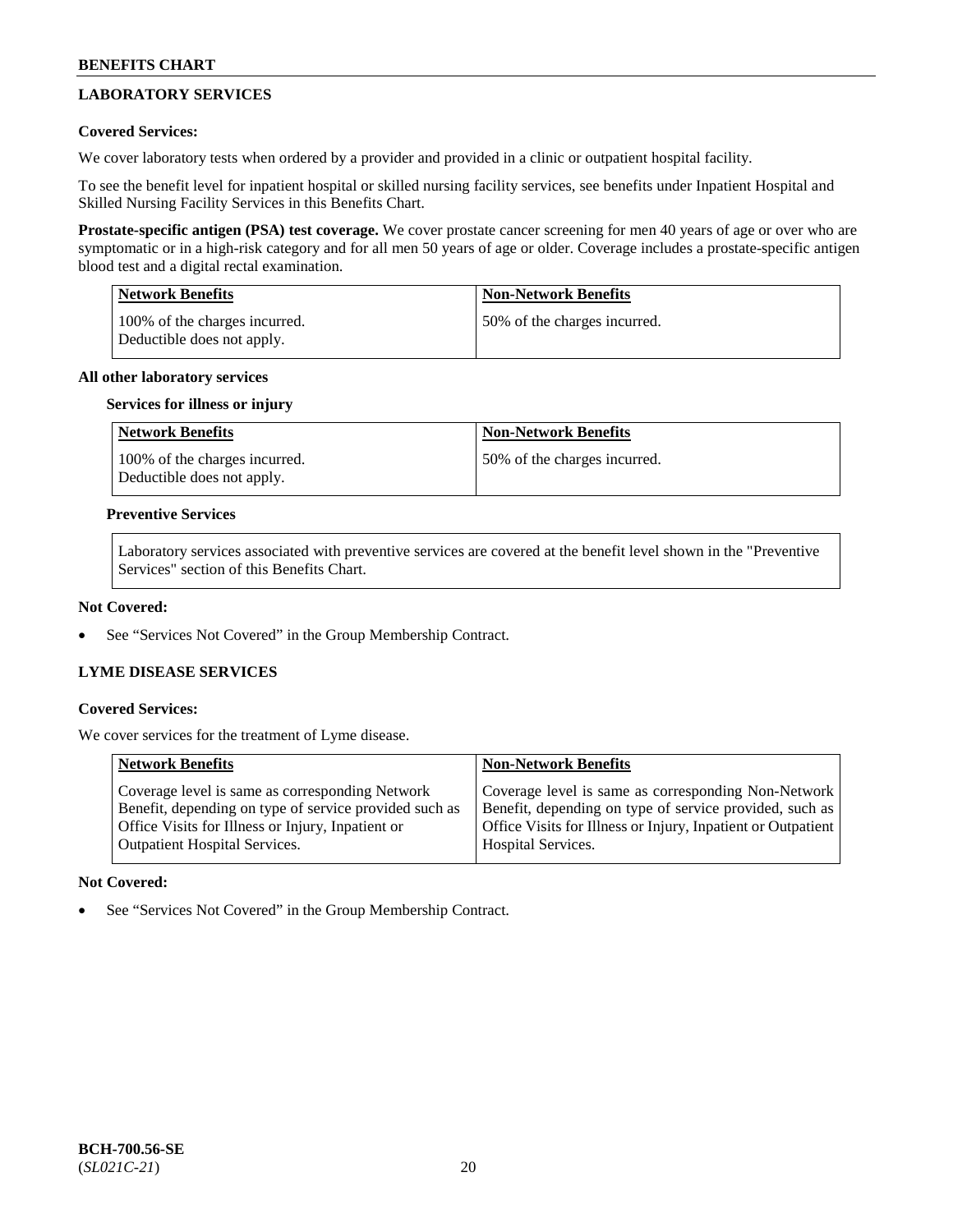# **LABORATORY SERVICES**

# **Covered Services:**

We cover laboratory tests when ordered by a provider and provided in a clinic or outpatient hospital facility.

To see the benefit level for inpatient hospital or skilled nursing facility services, see benefits under Inpatient Hospital and Skilled Nursing Facility Services in this Benefits Chart.

**Prostate-specific antigen (PSA) test coverage.** We cover prostate cancer screening for men 40 years of age or over who are symptomatic or in a high-risk category and for all men 50 years of age or older. Coverage includes a prostate-specific antigen blood test and a digital rectal examination.

| <b>Network Benefits</b>                                     | <b>Non-Network Benefits</b>  |
|-------------------------------------------------------------|------------------------------|
| 100% of the charges incurred.<br>Deductible does not apply. | 50% of the charges incurred. |

# **All other laboratory services**

# **Services for illness or injury**

| Network Benefits                                            | <b>Non-Network Benefits</b>  |
|-------------------------------------------------------------|------------------------------|
| 100% of the charges incurred.<br>Deductible does not apply. | 50% of the charges incurred. |

### **Preventive Services**

Laboratory services associated with preventive services are covered at the benefit level shown in the "Preventive Services" section of this Benefits Chart.

### **Not Covered:**

See "Services Not Covered" in the Group Membership Contract.

# **LYME DISEASE SERVICES**

#### **Covered Services:**

We cover services for the treatment of Lyme disease.

| <b>Network Benefits</b>                                                                                                                                                                                | <b>Non-Network Benefits</b>                                                                                                                                                    |
|--------------------------------------------------------------------------------------------------------------------------------------------------------------------------------------------------------|--------------------------------------------------------------------------------------------------------------------------------------------------------------------------------|
| Coverage level is same as corresponding Network<br>Benefit, depending on type of service provided such as<br>Office Visits for Illness or Injury, Inpatient or<br><b>Outpatient Hospital Services.</b> | Coverage level is same as corresponding Non-Network<br>Benefit, depending on type of service provided, such as<br>Office Visits for Illness or Injury, Inpatient or Outpatient |
|                                                                                                                                                                                                        | Hospital Services.                                                                                                                                                             |

# **Not Covered:**

See "Services Not Covered" in the Group Membership Contract.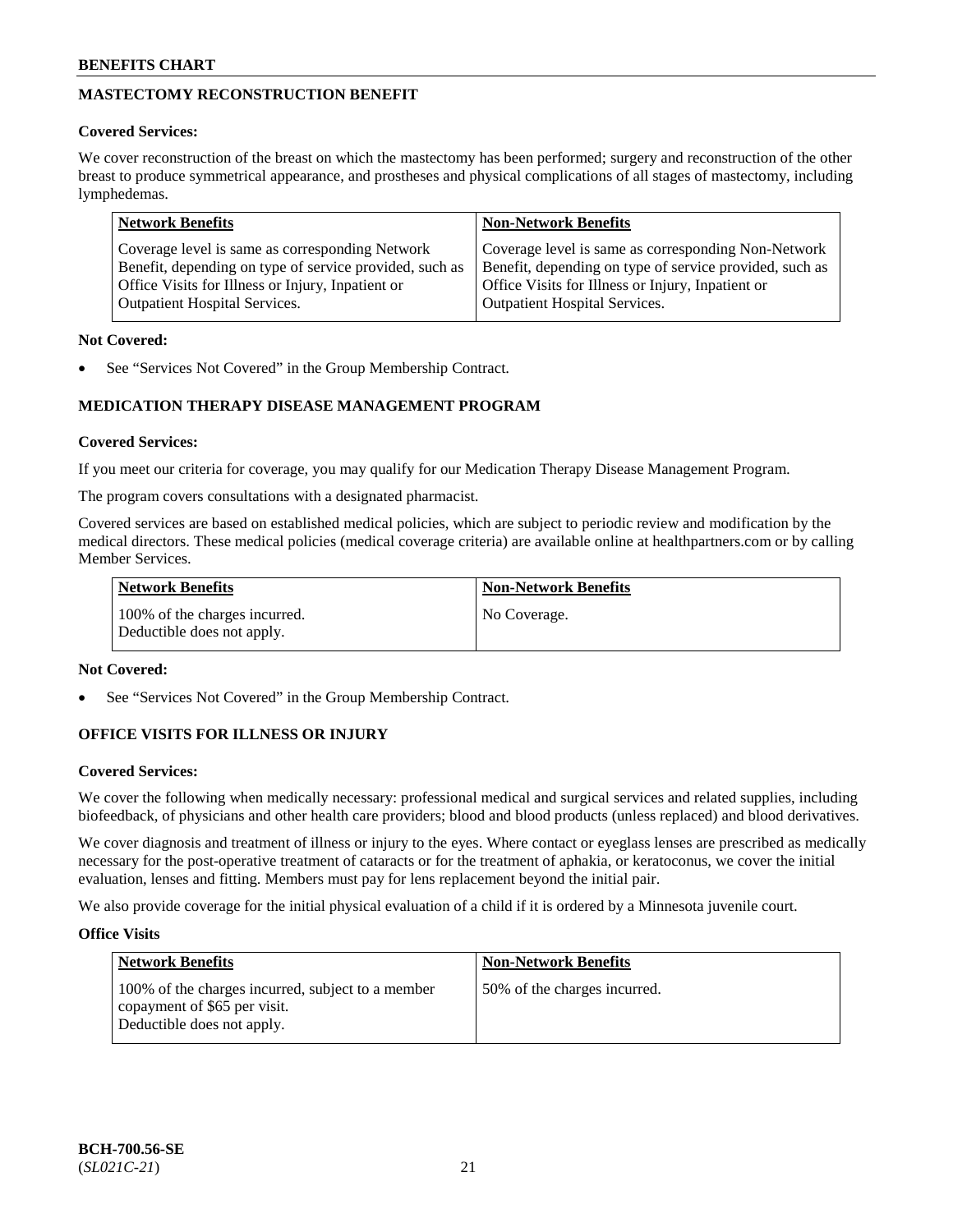# **MASTECTOMY RECONSTRUCTION BENEFIT**

# **Covered Services:**

We cover reconstruction of the breast on which the mastectomy has been performed; surgery and reconstruction of the other breast to produce symmetrical appearance, and prostheses and physical complications of all stages of mastectomy, including lymphedemas.

| <b>Network Benefits</b>                                 | <b>Non-Network Benefits</b>                             |
|---------------------------------------------------------|---------------------------------------------------------|
| Coverage level is same as corresponding Network         | Coverage level is same as corresponding Non-Network     |
| Benefit, depending on type of service provided, such as | Benefit, depending on type of service provided, such as |
| Office Visits for Illness or Injury, Inpatient or       | Office Visits for Illness or Injury, Inpatient or       |
| <b>Outpatient Hospital Services.</b>                    | <b>Outpatient Hospital Services.</b>                    |

# **Not Covered:**

See "Services Not Covered" in the Group Membership Contract.

# **MEDICATION THERAPY DISEASE MANAGEMENT PROGRAM**

# **Covered Services:**

If you meet our criteria for coverage, you may qualify for our Medication Therapy Disease Management Program.

The program covers consultations with a designated pharmacist.

Covered services are based on established medical policies, which are subject to periodic review and modification by the medical directors. These medical policies (medical coverage criteria) are available online at [healthpartners.com](https://www.healthpartners.com/hp/index.html) or by calling Member Services.

| Network Benefits                                            | <b>Non-Network Benefits</b> |
|-------------------------------------------------------------|-----------------------------|
| 100% of the charges incurred.<br>Deductible does not apply. | No Coverage.                |

# **Not Covered:**

See "Services Not Covered" in the Group Membership Contract.

# **OFFICE VISITS FOR ILLNESS OR INJURY**

# **Covered Services:**

We cover the following when medically necessary: professional medical and surgical services and related supplies, including biofeedback, of physicians and other health care providers; blood and blood products (unless replaced) and blood derivatives.

We cover diagnosis and treatment of illness or injury to the eyes. Where contact or eyeglass lenses are prescribed as medically necessary for the post-operative treatment of cataracts or for the treatment of aphakia, or keratoconus, we cover the initial evaluation, lenses and fitting. Members must pay for lens replacement beyond the initial pair.

We also provide coverage for the initial physical evaluation of a child if it is ordered by a Minnesota juvenile court.

# **Office Visits**

| <b>Network Benefits</b>                                                                                         | <b>Non-Network Benefits</b>  |
|-----------------------------------------------------------------------------------------------------------------|------------------------------|
| 100% of the charges incurred, subject to a member<br>copayment of \$65 per visit.<br>Deductible does not apply. | 50% of the charges incurred. |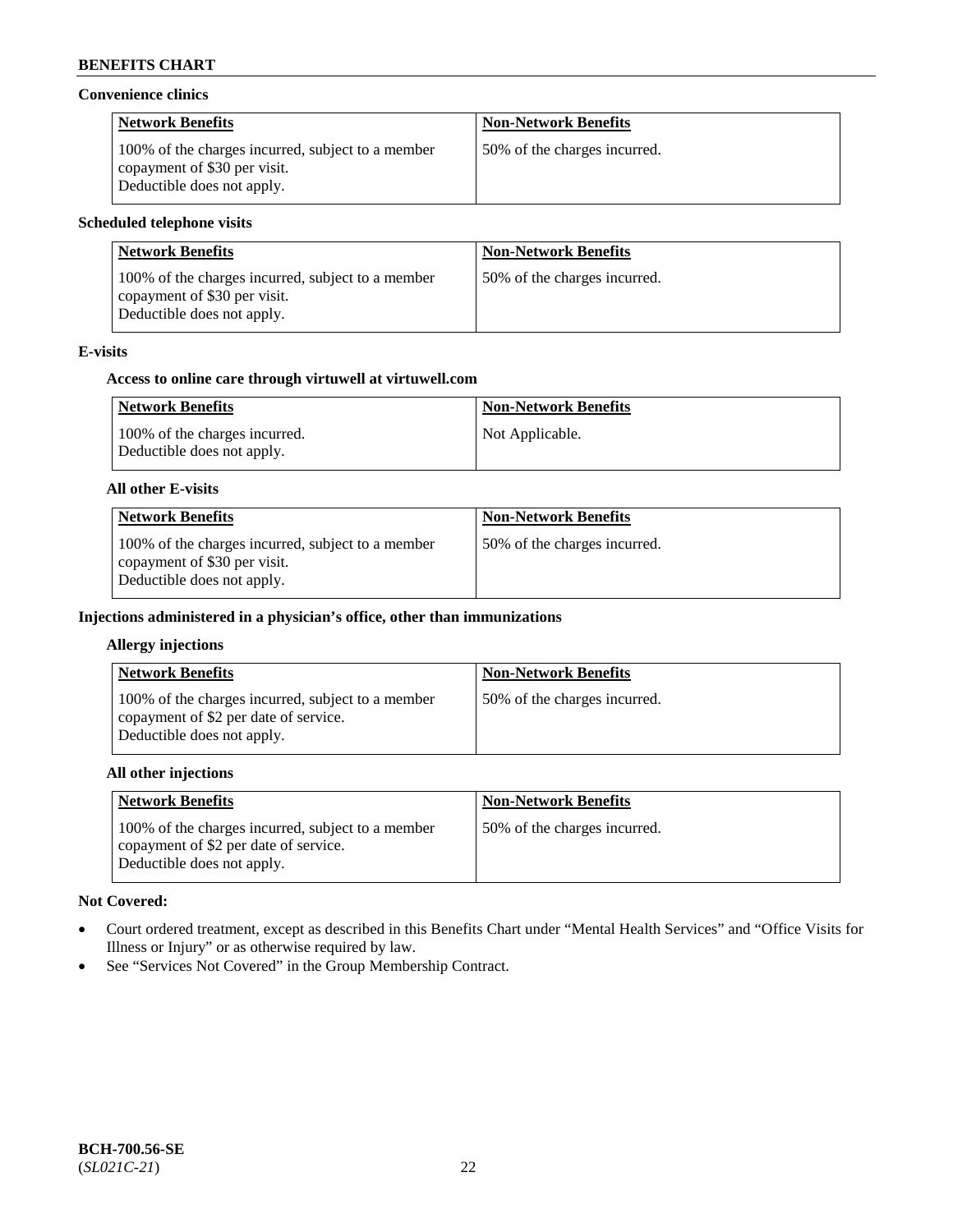### **Convenience clinics**

| <b>Network Benefits</b>                                                                                         | <b>Non-Network Benefits</b>  |
|-----------------------------------------------------------------------------------------------------------------|------------------------------|
| 100% of the charges incurred, subject to a member<br>copayment of \$30 per visit.<br>Deductible does not apply. | 50% of the charges incurred. |

# **Scheduled telephone visits**

| <b>Network Benefits</b>                                                                                         | <b>Non-Network Benefits</b>  |
|-----------------------------------------------------------------------------------------------------------------|------------------------------|
| 100% of the charges incurred, subject to a member<br>copayment of \$30 per visit.<br>Deductible does not apply. | 50% of the charges incurred. |

# **E-visits**

### **Access to online care through virtuwell at [virtuwell.com](https://www.virtuwell.com/)**

| <b>Network Benefits</b>                                     | <b>Non-Network Benefits</b> |
|-------------------------------------------------------------|-----------------------------|
| 100% of the charges incurred.<br>Deductible does not apply. | Not Applicable.             |

#### **All other E-visits**

| <b>Network Benefits</b>                                                                                         | <b>Non-Network Benefits</b>  |
|-----------------------------------------------------------------------------------------------------------------|------------------------------|
| 100% of the charges incurred, subject to a member<br>copayment of \$30 per visit.<br>Deductible does not apply. | 50% of the charges incurred. |

# **Injections administered in a physician's office, other than immunizations**

#### **Allergy injections**

| <b>Network Benefits</b>                                                                                                  | <b>Non-Network Benefits</b>  |
|--------------------------------------------------------------------------------------------------------------------------|------------------------------|
| 100% of the charges incurred, subject to a member<br>copayment of \$2 per date of service.<br>Deductible does not apply. | 50% of the charges incurred. |

### **All other injections**

| <b>Network Benefits</b>                                                                                                  | <b>Non-Network Benefits</b>  |
|--------------------------------------------------------------------------------------------------------------------------|------------------------------|
| 100% of the charges incurred, subject to a member<br>copayment of \$2 per date of service.<br>Deductible does not apply. | 50% of the charges incurred. |

# **Not Covered:**

- Court ordered treatment, except as described in this Benefits Chart under "Mental Health Services" and "Office Visits for Illness or Injury" or as otherwise required by law.
- See "Services Not Covered" in the Group Membership Contract.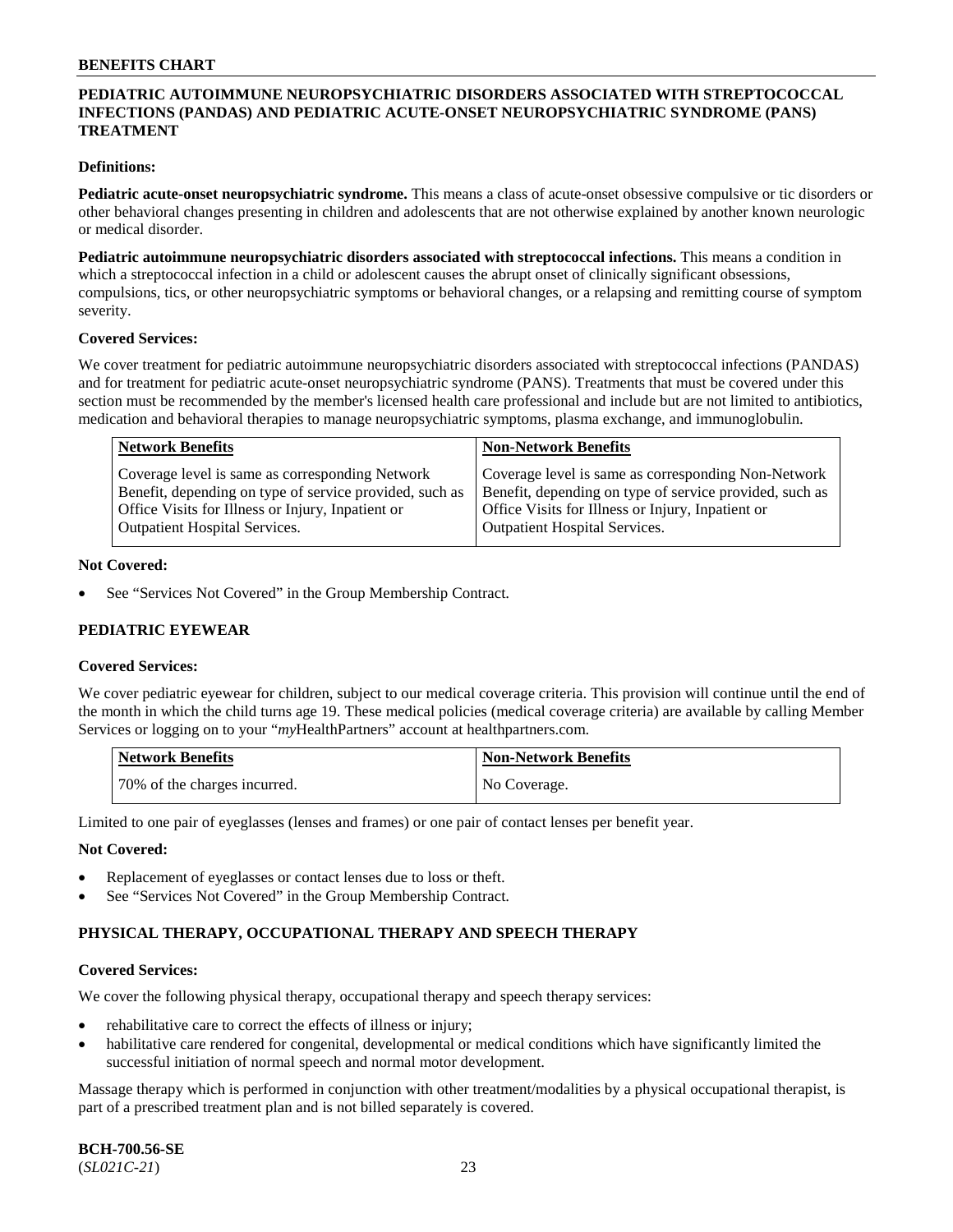# **PEDIATRIC AUTOIMMUNE NEUROPSYCHIATRIC DISORDERS ASSOCIATED WITH STREPTOCOCCAL INFECTIONS (PANDAS) AND PEDIATRIC ACUTE-ONSET NEUROPSYCHIATRIC SYNDROME (PANS) TREATMENT**

### **Definitions:**

**Pediatric acute-onset neuropsychiatric syndrome.** This means a class of acute-onset obsessive compulsive or tic disorders or other behavioral changes presenting in children and adolescents that are not otherwise explained by another known neurologic or medical disorder.

**Pediatric autoimmune neuropsychiatric disorders associated with streptococcal infections.** This means a condition in which a streptococcal infection in a child or adolescent causes the abrupt onset of clinically significant obsessions, compulsions, tics, or other neuropsychiatric symptoms or behavioral changes, or a relapsing and remitting course of symptom severity.

#### **Covered Services:**

We cover treatment for pediatric autoimmune neuropsychiatric disorders associated with streptococcal infections (PANDAS) and for treatment for pediatric acute-onset neuropsychiatric syndrome (PANS). Treatments that must be covered under this section must be recommended by the member's licensed health care professional and include but are not limited to antibiotics, medication and behavioral therapies to manage neuropsychiatric symptoms, plasma exchange, and immunoglobulin.

| <b>Network Benefits</b>                                 | <b>Non-Network Benefits</b>                             |
|---------------------------------------------------------|---------------------------------------------------------|
| Coverage level is same as corresponding Network         | Coverage level is same as corresponding Non-Network     |
| Benefit, depending on type of service provided, such as | Benefit, depending on type of service provided, such as |
| Office Visits for Illness or Injury, Inpatient or       | Office Visits for Illness or Injury, Inpatient or       |
| <b>Outpatient Hospital Services.</b>                    | <b>Outpatient Hospital Services.</b>                    |

#### **Not Covered:**

See "Services Not Covered" in the Group Membership Contract.

# **PEDIATRIC EYEWEAR**

#### **Covered Services:**

We cover pediatric eyewear for children, subject to our medical coverage criteria. This provision will continue until the end of the month in which the child turns age 19. These medical policies (medical coverage criteria) are available by calling Member Services or logging on to your "*my*HealthPartners" account at [healthpartners.com.](https://www.healthpartners.com/hp/index.html)

| Network Benefits             | <b>Non-Network Benefits</b> |
|------------------------------|-----------------------------|
| 70% of the charges incurred. | No Coverage.                |

Limited to one pair of eyeglasses (lenses and frames) or one pair of contact lenses per benefit year.

#### **Not Covered:**

- Replacement of eyeglasses or contact lenses due to loss or theft.
- See "Services Not Covered" in the Group Membership Contract.

# **PHYSICAL THERAPY, OCCUPATIONAL THERAPY AND SPEECH THERAPY**

#### **Covered Services:**

We cover the following physical therapy, occupational therapy and speech therapy services:

- rehabilitative care to correct the effects of illness or injury;
- habilitative care rendered for congenital, developmental or medical conditions which have significantly limited the successful initiation of normal speech and normal motor development.

Massage therapy which is performed in conjunction with other treatment/modalities by a physical occupational therapist, is part of a prescribed treatment plan and is not billed separately is covered.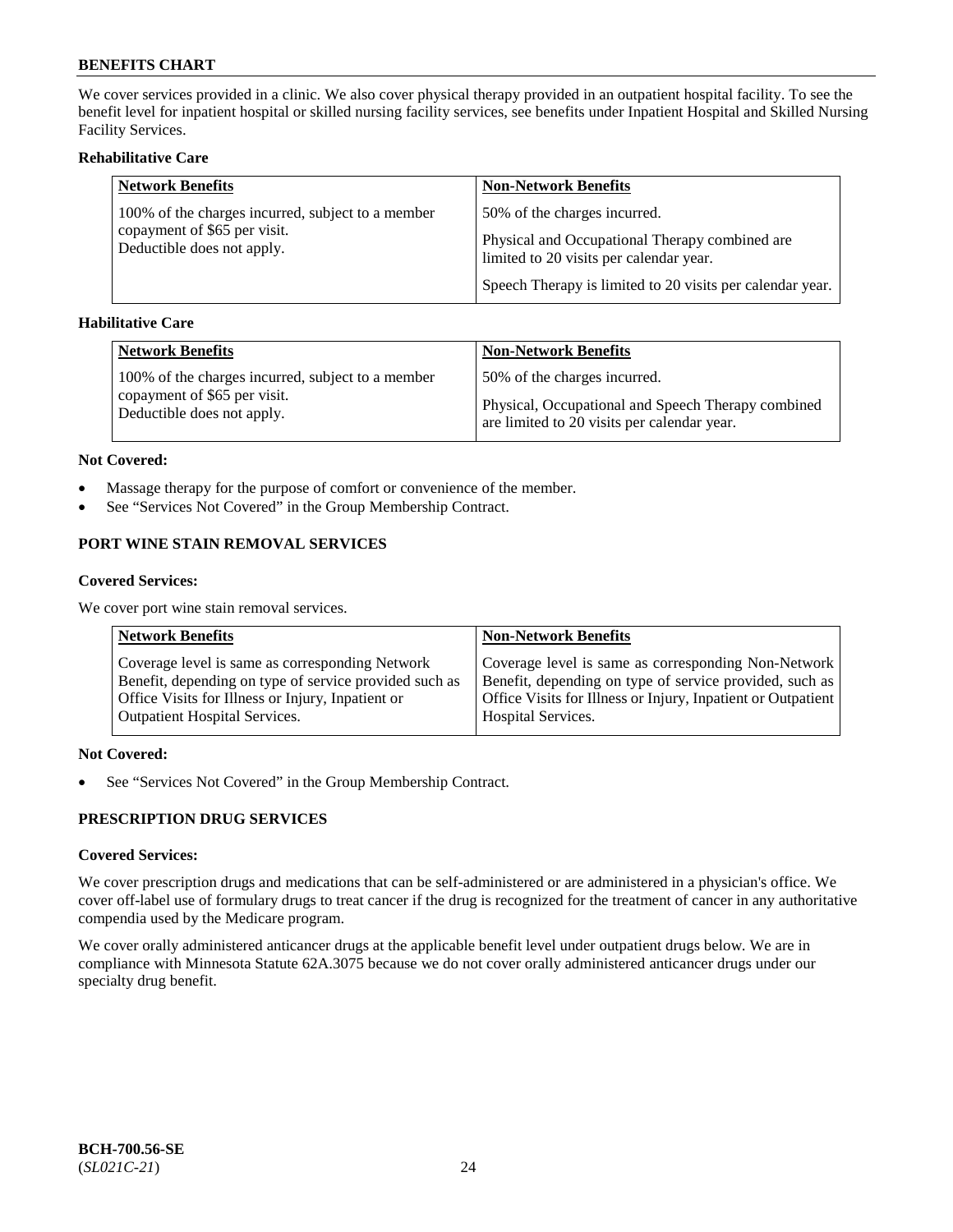We cover services provided in a clinic. We also cover physical therapy provided in an outpatient hospital facility. To see the benefit level for inpatient hospital or skilled nursing facility services, see benefits under Inpatient Hospital and Skilled Nursing Facility Services.

# **Rehabilitative Care**

| <b>Network Benefits</b>                                    | <b>Non-Network Benefits</b>                                                               |
|------------------------------------------------------------|-------------------------------------------------------------------------------------------|
| 100% of the charges incurred, subject to a member          | 50% of the charges incurred.                                                              |
| copayment of \$65 per visit.<br>Deductible does not apply. | Physical and Occupational Therapy combined are<br>limited to 20 visits per calendar year. |
|                                                            | Speech Therapy is limited to 20 visits per calendar year.                                 |

# **Habilitative Care**

| <b>Network Benefits</b>                           | <b>Non-Network Benefits</b>                        |
|---------------------------------------------------|----------------------------------------------------|
| 100% of the charges incurred, subject to a member | 50% of the charges incurred.                       |
| copayment of \$65 per visit.                      | Physical, Occupational and Speech Therapy combined |
| Deductible does not apply.                        | are limited to 20 visits per calendar year.        |

#### **Not Covered:**

- Massage therapy for the purpose of comfort or convenience of the member.
- See "Services Not Covered" in the Group Membership Contract.

# **PORT WINE STAIN REMOVAL SERVICES**

#### **Covered Services:**

We cover port wine stain removal services.

| <b>Network Benefits</b>                                | <b>Non-Network Benefits</b>                                  |
|--------------------------------------------------------|--------------------------------------------------------------|
| Coverage level is same as corresponding Network        | Coverage level is same as corresponding Non-Network          |
| Benefit, depending on type of service provided such as | Benefit, depending on type of service provided, such as      |
| Office Visits for Illness or Injury, Inpatient or      | Office Visits for Illness or Injury, Inpatient or Outpatient |
| <b>Outpatient Hospital Services.</b>                   | <b>Hospital Services.</b>                                    |

# **Not Covered:**

• See "Services Not Covered" in the Group Membership Contract.

# **PRESCRIPTION DRUG SERVICES**

# **Covered Services:**

We cover prescription drugs and medications that can be self-administered or are administered in a physician's office. We cover off-label use of formulary drugs to treat cancer if the drug is recognized for the treatment of cancer in any authoritative compendia used by the Medicare program.

We cover orally administered anticancer drugs at the applicable benefit level under outpatient drugs below. We are in compliance with Minnesota Statute 62A.3075 because we do not cover orally administered anticancer drugs under our specialty drug benefit.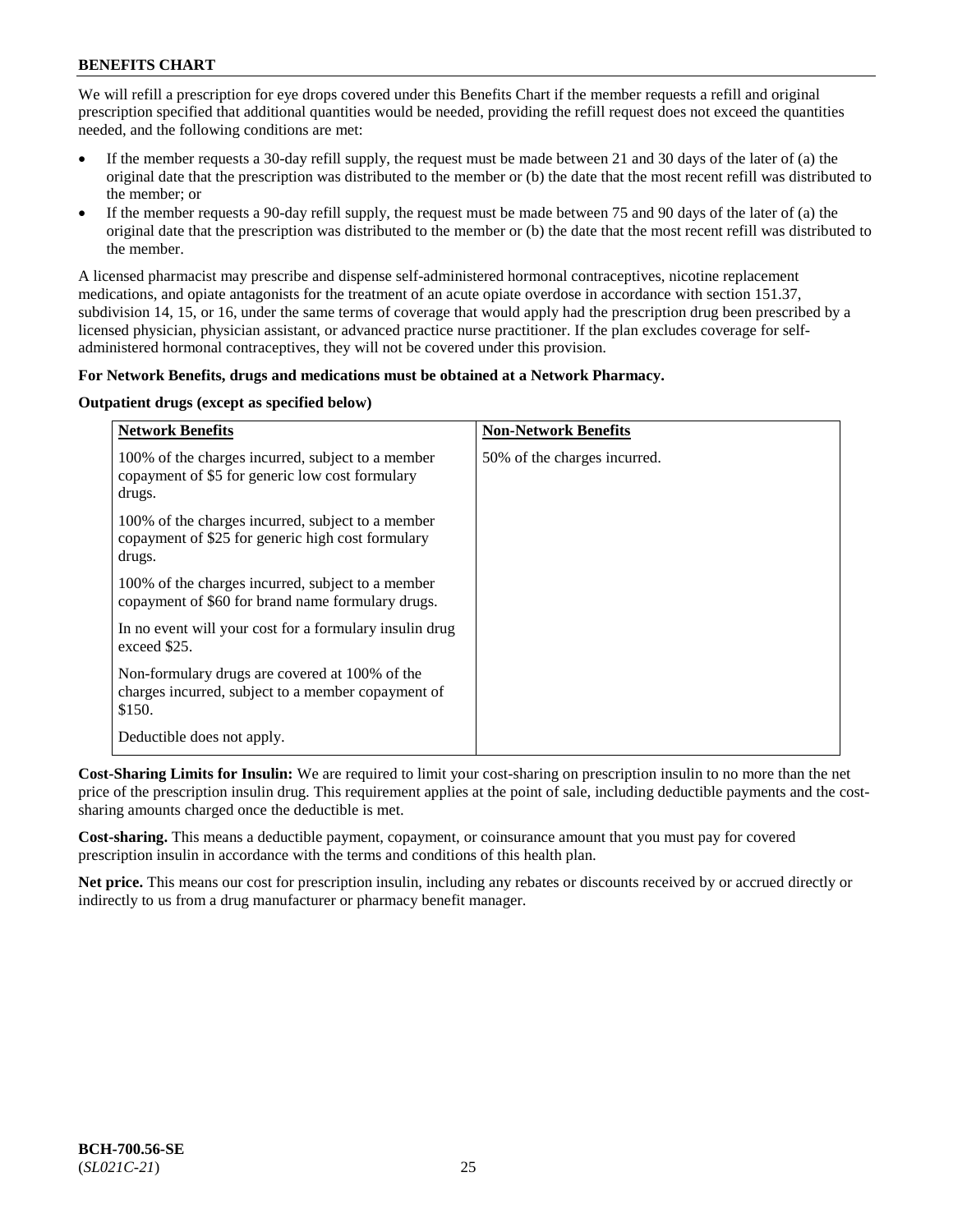We will refill a prescription for eye drops covered under this Benefits Chart if the member requests a refill and original prescription specified that additional quantities would be needed, providing the refill request does not exceed the quantities needed, and the following conditions are met:

- If the member requests a 30-day refill supply, the request must be made between 21 and 30 days of the later of (a) the original date that the prescription was distributed to the member or (b) the date that the most recent refill was distributed to the member; or
- If the member requests a 90-day refill supply, the request must be made between 75 and 90 days of the later of (a) the original date that the prescription was distributed to the member or (b) the date that the most recent refill was distributed to the member.

A licensed pharmacist may prescribe and dispense self-administered hormonal contraceptives, nicotine replacement medications, and opiate antagonists for the treatment of an acute opiate overdose in accordance with section 151.37, subdivision 14, 15, or 16, under the same terms of coverage that would apply had the prescription drug been prescribed by a licensed physician, physician assistant, or advanced practice nurse practitioner. If the plan excludes coverage for selfadministered hormonal contraceptives, they will not be covered under this provision.

# **For Network Benefits, drugs and medications must be obtained at a Network Pharmacy.**

# **Outpatient drugs (except as specified below)**

| <b>Network Benefits</b>                                                                                          | <b>Non-Network Benefits</b>  |
|------------------------------------------------------------------------------------------------------------------|------------------------------|
| 100% of the charges incurred, subject to a member<br>copayment of \$5 for generic low cost formulary<br>drugs.   | 50% of the charges incurred. |
| 100% of the charges incurred, subject to a member<br>copayment of \$25 for generic high cost formulary<br>drugs. |                              |
| 100% of the charges incurred, subject to a member<br>copayment of \$60 for brand name formulary drugs.           |                              |
| In no event will your cost for a formulary insulin drug<br>exceed \$25.                                          |                              |
| Non-formulary drugs are covered at 100% of the<br>charges incurred, subject to a member copayment of<br>\$150.   |                              |
| Deductible does not apply.                                                                                       |                              |

**Cost-Sharing Limits for Insulin:** We are required to limit your cost-sharing on prescription insulin to no more than the net price of the prescription insulin drug. This requirement applies at the point of sale, including deductible payments and the costsharing amounts charged once the deductible is met.

**Cost-sharing.** This means a deductible payment, copayment, or coinsurance amount that you must pay for covered prescription insulin in accordance with the terms and conditions of this health plan.

**Net price.** This means our cost for prescription insulin, including any rebates or discounts received by or accrued directly or indirectly to us from a drug manufacturer or pharmacy benefit manager.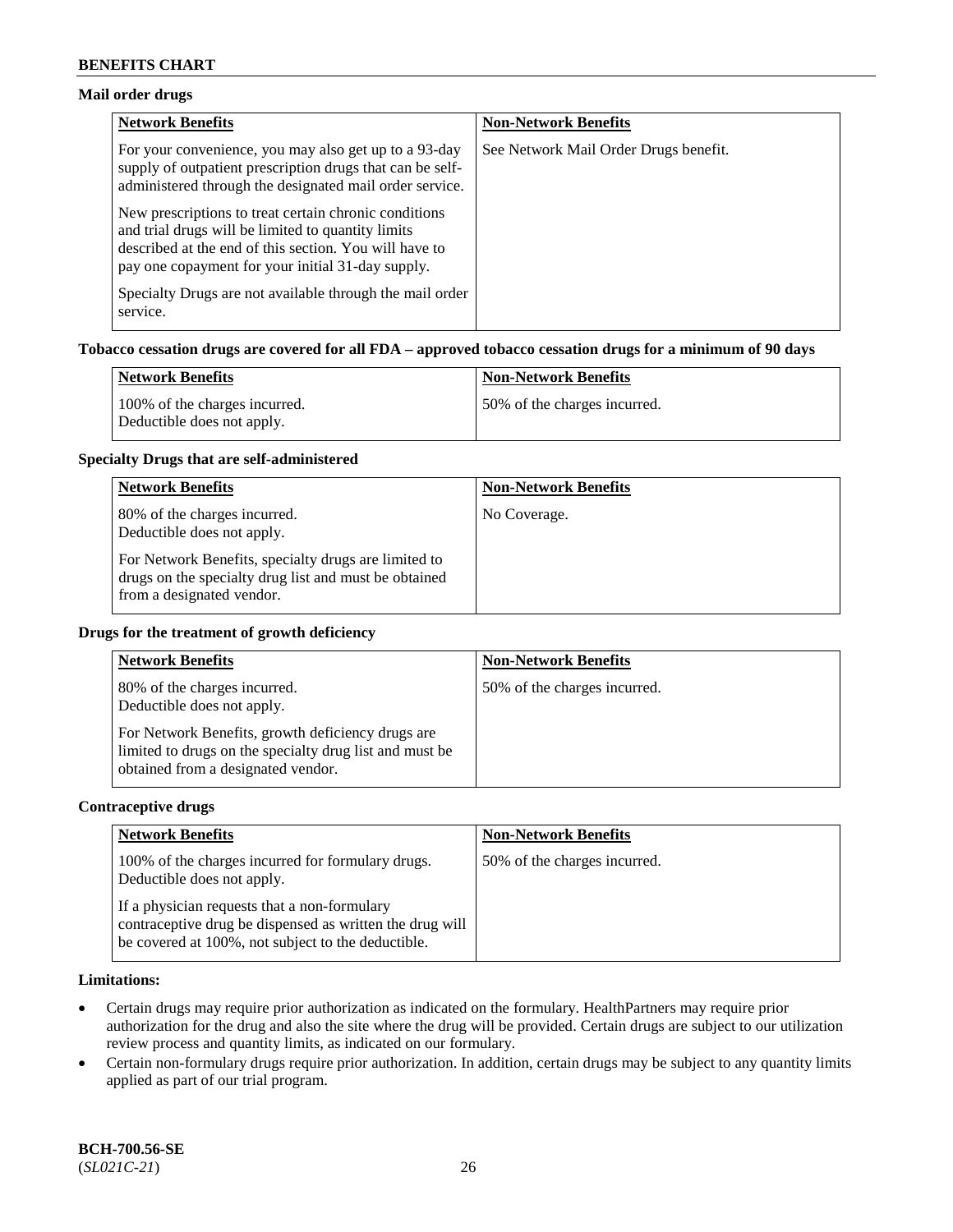# **Mail order drugs**

| <b>Network Benefits</b>                                                                                                                                                                                                    | <b>Non-Network Benefits</b>           |
|----------------------------------------------------------------------------------------------------------------------------------------------------------------------------------------------------------------------------|---------------------------------------|
| For your convenience, you may also get up to a 93-day<br>supply of outpatient prescription drugs that can be self-<br>administered through the designated mail order service.                                              | See Network Mail Order Drugs benefit. |
| New prescriptions to treat certain chronic conditions<br>and trial drugs will be limited to quantity limits<br>described at the end of this section. You will have to<br>pay one copayment for your initial 31-day supply. |                                       |
| Specialty Drugs are not available through the mail order<br>service.                                                                                                                                                       |                                       |

### **Tobacco cessation drugs are covered for all FDA – approved tobacco cessation drugs for a minimum of 90 days**

| Network Benefits                                            | <b>Non-Network Benefits</b>   |
|-------------------------------------------------------------|-------------------------------|
| 100% of the charges incurred.<br>Deductible does not apply. | 150% of the charges incurred. |

#### **Specialty Drugs that are self-administered**

| <b>Network Benefits</b>                                                                                                                    | <b>Non-Network Benefits</b> |
|--------------------------------------------------------------------------------------------------------------------------------------------|-----------------------------|
| 80% of the charges incurred.<br>Deductible does not apply.                                                                                 | No Coverage.                |
| For Network Benefits, specialty drugs are limited to<br>drugs on the specialty drug list and must be obtained<br>from a designated vendor. |                             |

### **Drugs for the treatment of growth deficiency**

| <b>Network Benefits</b>                                                                                                                            | <b>Non-Network Benefits</b>  |
|----------------------------------------------------------------------------------------------------------------------------------------------------|------------------------------|
| 80% of the charges incurred.<br>Deductible does not apply.                                                                                         | 50% of the charges incurred. |
| For Network Benefits, growth deficiency drugs are<br>limited to drugs on the specialty drug list and must be<br>obtained from a designated vendor. |                              |

#### **Contraceptive drugs**

| <b>Network Benefits</b>                                                                                                                                        | <b>Non-Network Benefits</b>  |
|----------------------------------------------------------------------------------------------------------------------------------------------------------------|------------------------------|
| 100% of the charges incurred for formulary drugs.<br>Deductible does not apply.                                                                                | 50% of the charges incurred. |
| If a physician requests that a non-formulary<br>contraceptive drug be dispensed as written the drug will<br>be covered at 100%, not subject to the deductible. |                              |

# **Limitations:**

- Certain drugs may require prior authorization as indicated on the formulary. HealthPartners may require prior authorization for the drug and also the site where the drug will be provided. Certain drugs are subject to our utilization review process and quantity limits, as indicated on our formulary.
- Certain non-formulary drugs require prior authorization. In addition, certain drugs may be subject to any quantity limits applied as part of our trial program.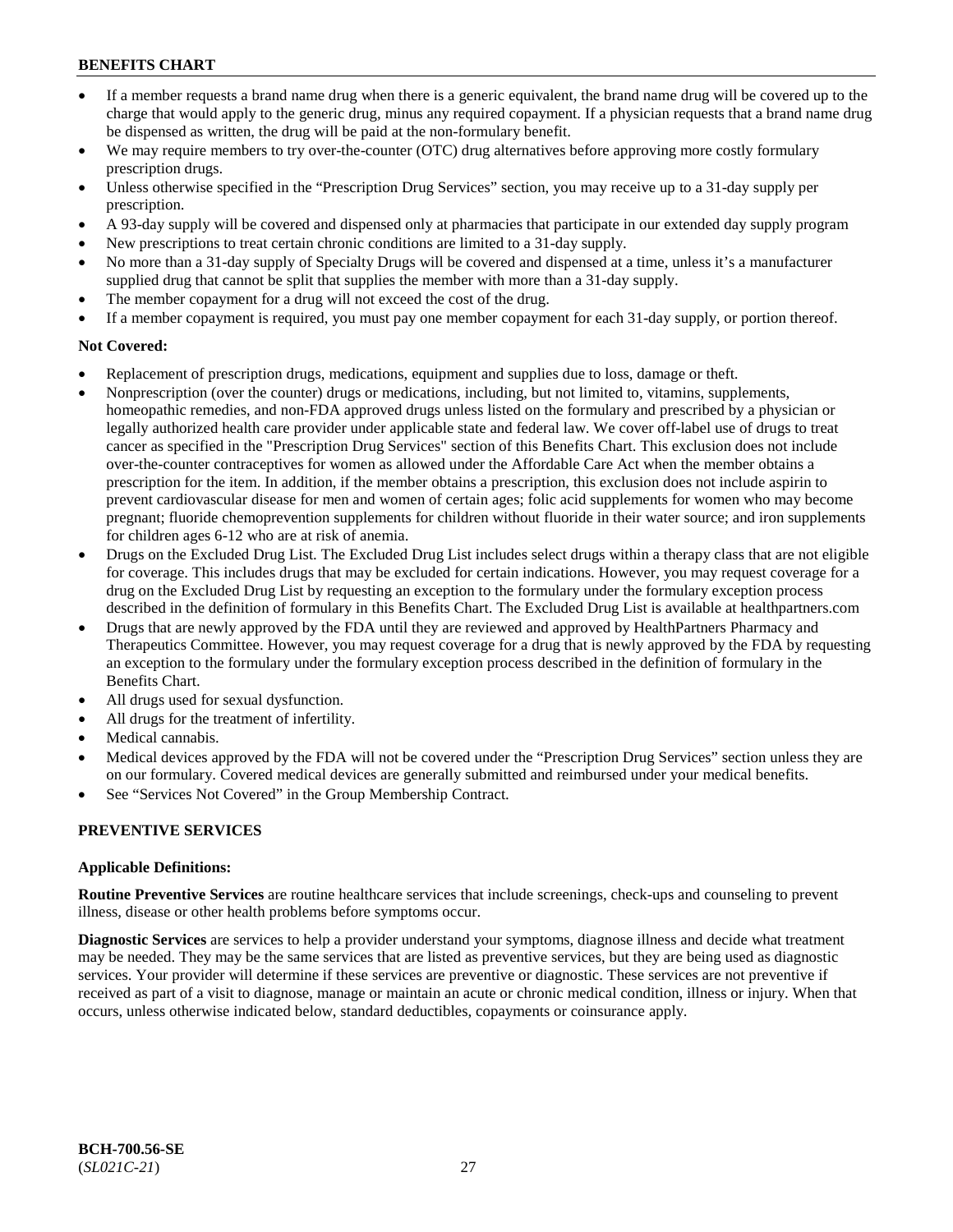- If a member requests a brand name drug when there is a generic equivalent, the brand name drug will be covered up to the charge that would apply to the generic drug, minus any required copayment. If a physician requests that a brand name drug be dispensed as written, the drug will be paid at the non-formulary benefit.
- We may require members to try over-the-counter (OTC) drug alternatives before approving more costly formulary prescription drugs.
- Unless otherwise specified in the "Prescription Drug Services" section, you may receive up to a 31-day supply per prescription.
- A 93-day supply will be covered and dispensed only at pharmacies that participate in our extended day supply program
- New prescriptions to treat certain chronic conditions are limited to a 31-day supply.
- No more than a 31-day supply of Specialty Drugs will be covered and dispensed at a time, unless it's a manufacturer supplied drug that cannot be split that supplies the member with more than a 31-day supply.
- The member copayment for a drug will not exceed the cost of the drug.
- If a member copayment is required, you must pay one member copayment for each 31-day supply, or portion thereof.

# **Not Covered:**

- Replacement of prescription drugs, medications, equipment and supplies due to loss, damage or theft.
- Nonprescription (over the counter) drugs or medications, including, but not limited to, vitamins, supplements, homeopathic remedies, and non-FDA approved drugs unless listed on the formulary and prescribed by a physician or legally authorized health care provider under applicable state and federal law. We cover off-label use of drugs to treat cancer as specified in the "Prescription Drug Services" section of this Benefits Chart. This exclusion does not include over-the-counter contraceptives for women as allowed under the Affordable Care Act when the member obtains a prescription for the item. In addition, if the member obtains a prescription, this exclusion does not include aspirin to prevent cardiovascular disease for men and women of certain ages; folic acid supplements for women who may become pregnant; fluoride chemoprevention supplements for children without fluoride in their water source; and iron supplements for children ages 6-12 who are at risk of anemia.
- Drugs on the Excluded Drug List. The Excluded Drug List includes select drugs within a therapy class that are not eligible for coverage. This includes drugs that may be excluded for certain indications. However, you may request coverage for a drug on the Excluded Drug List by requesting an exception to the formulary under the formulary exception process described in the definition of formulary in this Benefits Chart. The Excluded Drug List is available at [healthpartners.com](http://www.healthpartners.com/)
- Drugs that are newly approved by the FDA until they are reviewed and approved by HealthPartners Pharmacy and Therapeutics Committee. However, you may request coverage for a drug that is newly approved by the FDA by requesting an exception to the formulary under the formulary exception process described in the definition of formulary in the Benefits Chart.
- All drugs used for sexual dysfunction.
- All drugs for the treatment of infertility.
- Medical cannabis.
- Medical devices approved by the FDA will not be covered under the "Prescription Drug Services" section unless they are on our formulary. Covered medical devices are generally submitted and reimbursed under your medical benefits.
- See "Services Not Covered" in the Group Membership Contract.

# **PREVENTIVE SERVICES**

# **Applicable Definitions:**

**Routine Preventive Services** are routine healthcare services that include screenings, check-ups and counseling to prevent illness, disease or other health problems before symptoms occur.

**Diagnostic Services** are services to help a provider understand your symptoms, diagnose illness and decide what treatment may be needed. They may be the same services that are listed as preventive services, but they are being used as diagnostic services. Your provider will determine if these services are preventive or diagnostic. These services are not preventive if received as part of a visit to diagnose, manage or maintain an acute or chronic medical condition, illness or injury. When that occurs, unless otherwise indicated below, standard deductibles, copayments or coinsurance apply.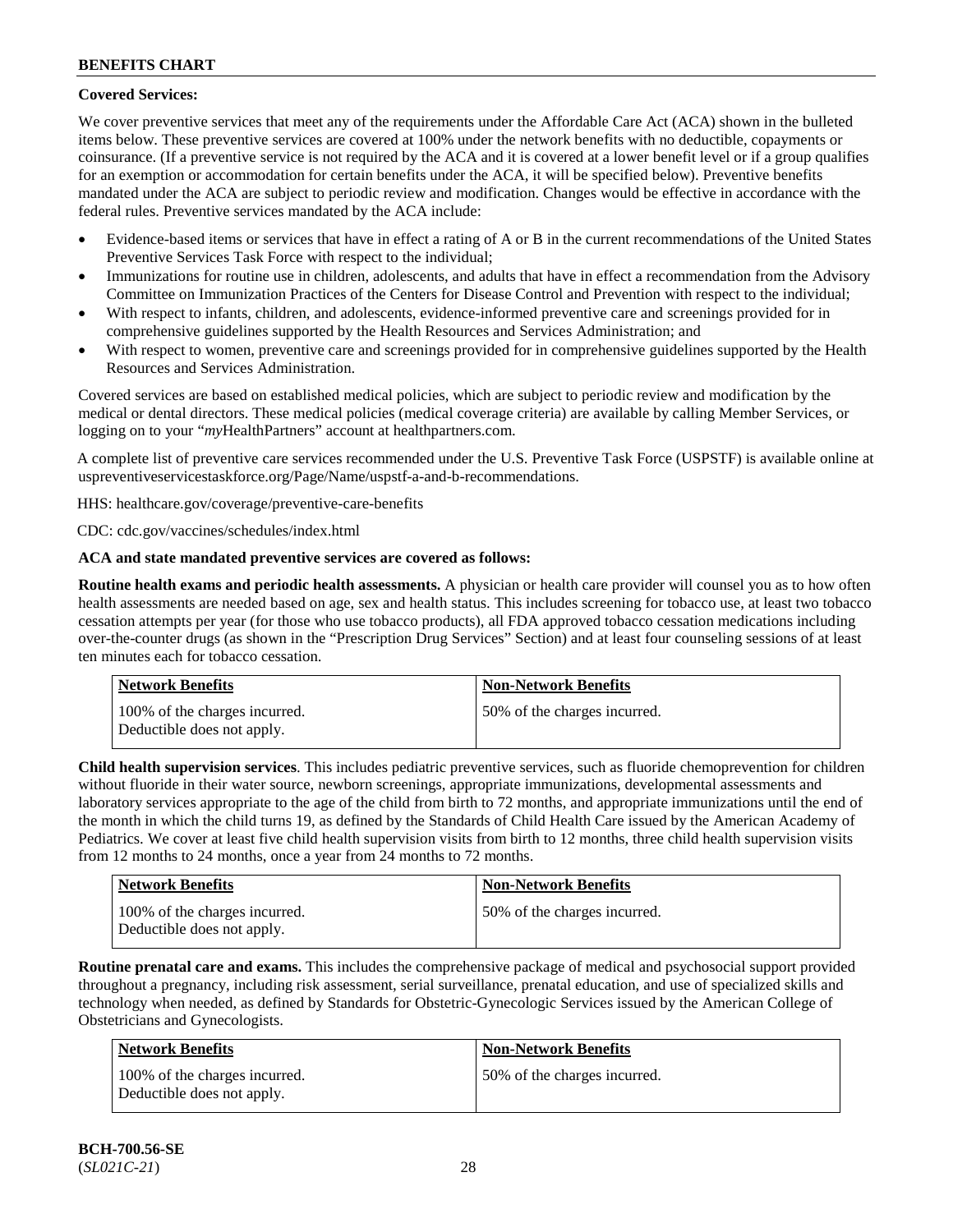# **Covered Services:**

We cover preventive services that meet any of the requirements under the Affordable Care Act (ACA) shown in the bulleted items below. These preventive services are covered at 100% under the network benefits with no deductible, copayments or coinsurance. (If a preventive service is not required by the ACA and it is covered at a lower benefit level or if a group qualifies for an exemption or accommodation for certain benefits under the ACA, it will be specified below). Preventive benefits mandated under the ACA are subject to periodic review and modification. Changes would be effective in accordance with the federal rules. Preventive services mandated by the ACA include:

- Evidence-based items or services that have in effect a rating of A or B in the current recommendations of the United States Preventive Services Task Force with respect to the individual;
- Immunizations for routine use in children, adolescents, and adults that have in effect a recommendation from the Advisory Committee on Immunization Practices of the Centers for Disease Control and Prevention with respect to the individual;
- With respect to infants, children, and adolescents, evidence-informed preventive care and screenings provided for in comprehensive guidelines supported by the Health Resources and Services Administration; and
- With respect to women, preventive care and screenings provided for in comprehensive guidelines supported by the Health Resources and Services Administration.

Covered services are based on established medical policies, which are subject to periodic review and modification by the medical or dental directors. These medical policies (medical coverage criteria) are available by calling Member Services, or logging on to your "*my*HealthPartners" account at [healthpartners.com.](http://www.healthpartners.com/)

A complete list of preventive care services recommended under the U.S. Preventive Task Force (USPSTF) is available online at [uspreventiveservicestaskforce.org/Page/Name/uspstf-a-and-b-recommendations.](https://www.uspreventiveservicestaskforce.org/Page/Name/uspstf-a-and-b-recommendations-by-date/)

HHS: [healthcare.gov/coverage/preventive-care-benefits](https://www.healthcare.gov/coverage/preventive-care-benefits/)

CDC: [cdc.gov/vaccines/schedules/index.html](https://www.cdc.gov/vaccines/schedules/index.html)

# **ACA and state mandated preventive services are covered as follows:**

**Routine health exams and periodic health assessments.** A physician or health care provider will counsel you as to how often health assessments are needed based on age, sex and health status. This includes screening for tobacco use, at least two tobacco cessation attempts per year (for those who use tobacco products), all FDA approved tobacco cessation medications including over-the-counter drugs (as shown in the "Prescription Drug Services" Section) and at least four counseling sessions of at least ten minutes each for tobacco cessation.

| Network Benefits                                            | <b>Non-Network Benefits</b>  |
|-------------------------------------------------------------|------------------------------|
| 100% of the charges incurred.<br>Deductible does not apply. | 50% of the charges incurred. |

**Child health supervision services**. This includes pediatric preventive services, such as fluoride chemoprevention for children without fluoride in their water source, newborn screenings, appropriate immunizations, developmental assessments and laboratory services appropriate to the age of the child from birth to 72 months, and appropriate immunizations until the end of the month in which the child turns 19, as defined by the Standards of Child Health Care issued by the American Academy of Pediatrics. We cover at least five child health supervision visits from birth to 12 months, three child health supervision visits from 12 months to 24 months, once a year from 24 months to 72 months.

| <b>Network Benefits</b>                                     | Non-Network Benefits         |
|-------------------------------------------------------------|------------------------------|
| 100% of the charges incurred.<br>Deductible does not apply. | 50% of the charges incurred. |

**Routine prenatal care and exams.** This includes the comprehensive package of medical and psychosocial support provided throughout a pregnancy, including risk assessment, serial surveillance, prenatal education, and use of specialized skills and technology when needed, as defined by Standards for Obstetric-Gynecologic Services issued by the American College of Obstetricians and Gynecologists.

| Network Benefits                                            | <b>Non-Network Benefits</b>  |
|-------------------------------------------------------------|------------------------------|
| 100% of the charges incurred.<br>Deductible does not apply. | 50% of the charges incurred. |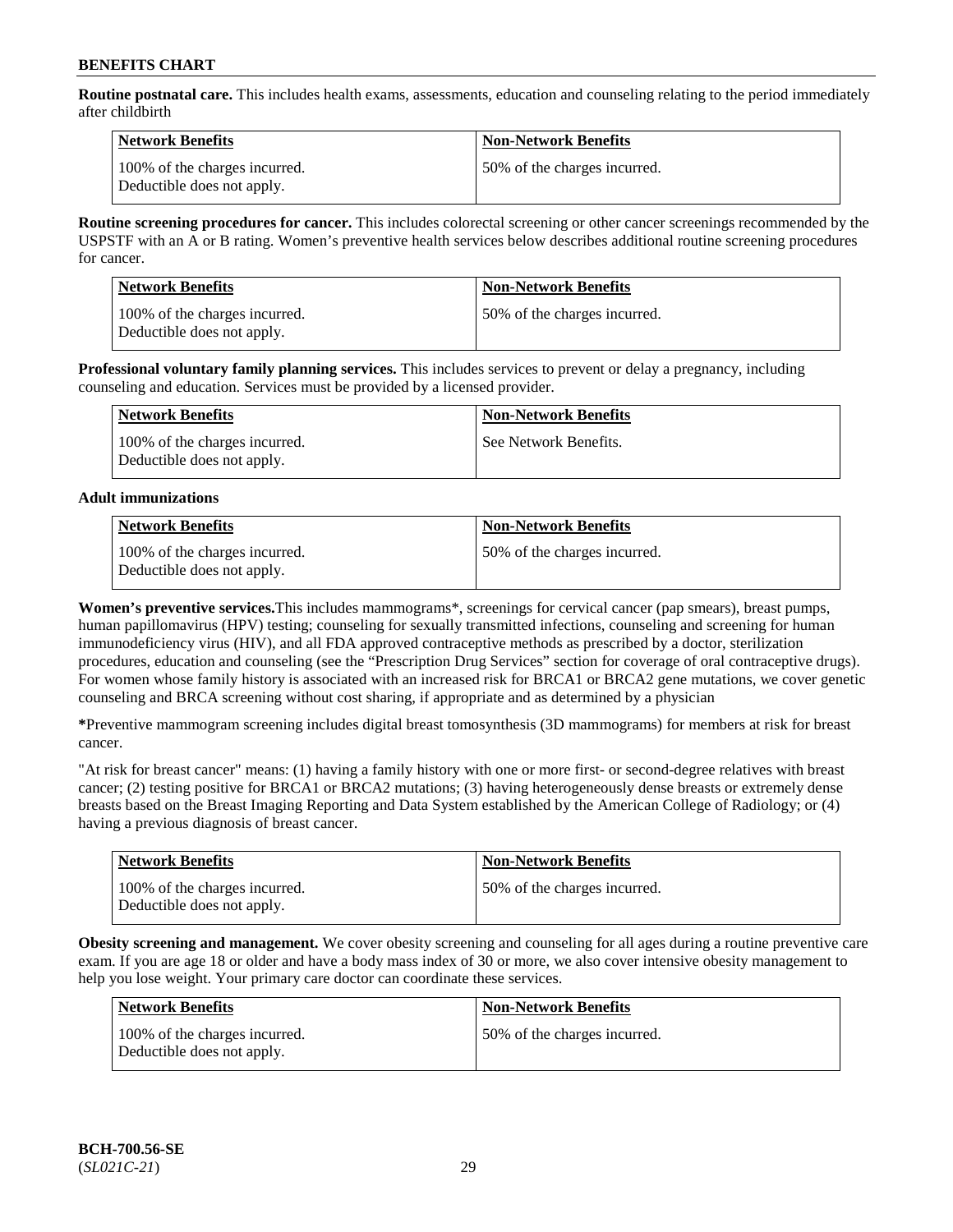**Routine postnatal care.** This includes health exams, assessments, education and counseling relating to the period immediately after childbirth

| Network Benefits                                            | <b>Non-Network Benefits</b>  |
|-------------------------------------------------------------|------------------------------|
| 100% of the charges incurred.<br>Deductible does not apply. | 50% of the charges incurred. |

**Routine screening procedures for cancer.** This includes colorectal screening or other cancer screenings recommended by the USPSTF with an A or B rating. Women's preventive health services below describes additional routine screening procedures for cancer.

| <b>Network Benefits</b>                                     | <b>Non-Network Benefits</b>  |
|-------------------------------------------------------------|------------------------------|
| 100% of the charges incurred.<br>Deductible does not apply. | 50% of the charges incurred. |

**Professional voluntary family planning services.** This includes services to prevent or delay a pregnancy, including counseling and education. Services must be provided by a licensed provider.

| Network Benefits                                            | <b>Non-Network Benefits</b> |
|-------------------------------------------------------------|-----------------------------|
| 100% of the charges incurred.<br>Deductible does not apply. | See Network Benefits.       |

# **Adult immunizations**

| <b>Network Benefits</b>                                     | <b>Non-Network Benefits</b>  |
|-------------------------------------------------------------|------------------------------|
| 100% of the charges incurred.<br>Deductible does not apply. | 50% of the charges incurred. |

**Women's preventive services.**This includes mammograms\*, screenings for cervical cancer (pap smears), breast pumps, human papillomavirus (HPV) testing; counseling for sexually transmitted infections, counseling and screening for human immunodeficiency virus (HIV), and all FDA approved contraceptive methods as prescribed by a doctor, sterilization procedures, education and counseling (see the "Prescription Drug Services" section for coverage of oral contraceptive drugs). For women whose family history is associated with an increased risk for BRCA1 or BRCA2 gene mutations, we cover genetic counseling and BRCA screening without cost sharing, if appropriate and as determined by a physician

**\***Preventive mammogram screening includes digital breast tomosynthesis (3D mammograms) for members at risk for breast cancer.

"At risk for breast cancer" means: (1) having a family history with one or more first- or second-degree relatives with breast cancer; (2) testing positive for BRCA1 or BRCA2 mutations; (3) having heterogeneously dense breasts or extremely dense breasts based on the Breast Imaging Reporting and Data System established by the American College of Radiology; or (4) having a previous diagnosis of breast cancer.

| <b>Network Benefits</b>                                     | <b>Non-Network Benefits</b>  |
|-------------------------------------------------------------|------------------------------|
| 100% of the charges incurred.<br>Deductible does not apply. | 50% of the charges incurred. |

**Obesity screening and management.** We cover obesity screening and counseling for all ages during a routine preventive care exam. If you are age 18 or older and have a body mass index of 30 or more, we also cover intensive obesity management to help you lose weight. Your primary care doctor can coordinate these services.

| Network Benefits                                            | <b>Non-Network Benefits</b>  |
|-------------------------------------------------------------|------------------------------|
| 100% of the charges incurred.<br>Deductible does not apply. | 50% of the charges incurred. |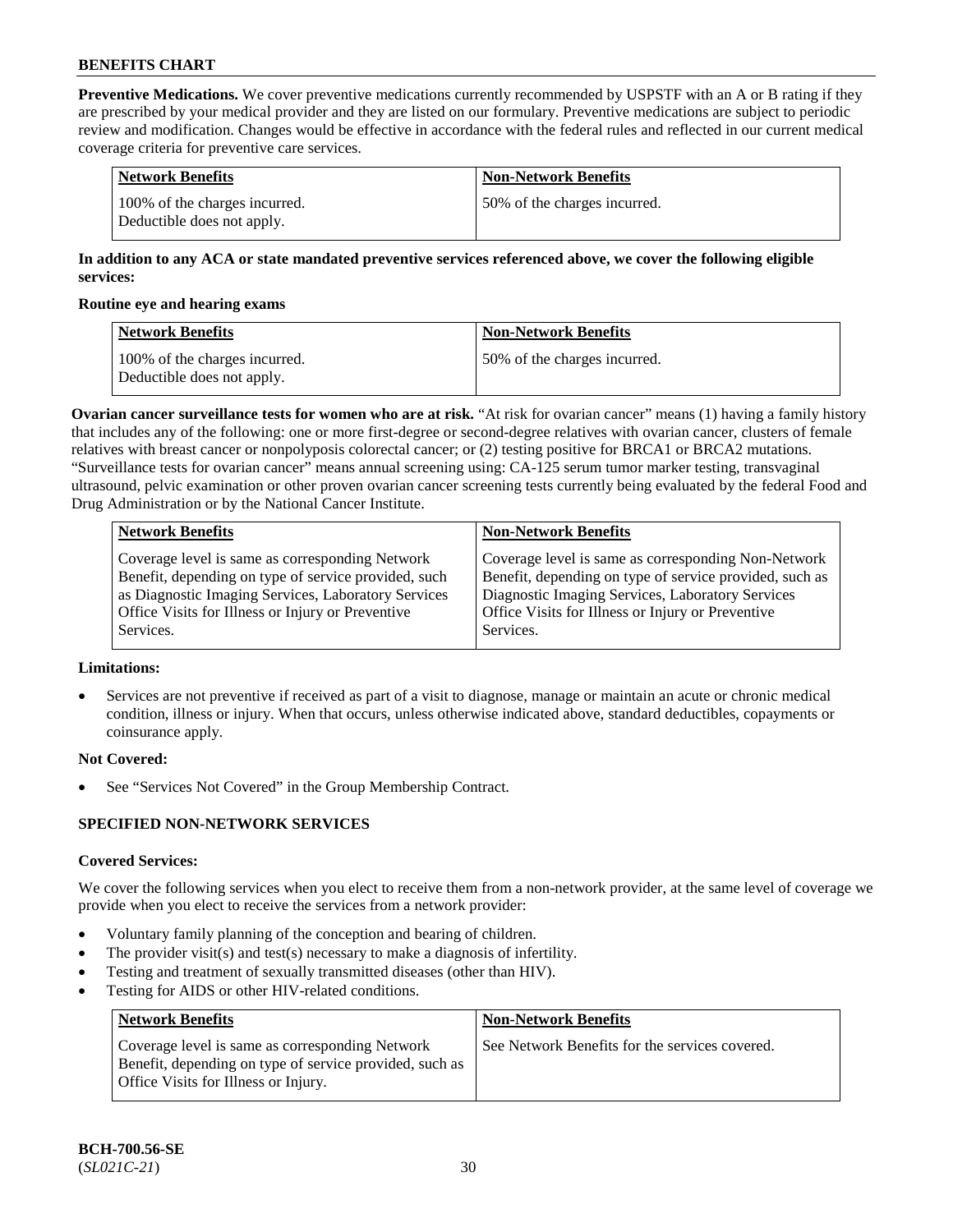**Preventive Medications.** We cover preventive medications currently recommended by USPSTF with an A or B rating if they are prescribed by your medical provider and they are listed on our formulary. Preventive medications are subject to periodic review and modification. Changes would be effective in accordance with the federal rules and reflected in our current medical coverage criteria for preventive care services.

| Network Benefits                                            | <b>Non-Network Benefits</b>  |
|-------------------------------------------------------------|------------------------------|
| 100% of the charges incurred.<br>Deductible does not apply. | 50% of the charges incurred. |

# **In addition to any ACA or state mandated preventive services referenced above, we cover the following eligible services:**

#### **Routine eye and hearing exams**

| <b>Network Benefits</b>                                     | <b>Non-Network Benefits</b>  |
|-------------------------------------------------------------|------------------------------|
| 100% of the charges incurred.<br>Deductible does not apply. | 50% of the charges incurred. |

**Ovarian cancer surveillance tests for women who are at risk.** "At risk for ovarian cancer" means (1) having a family history that includes any of the following: one or more first-degree or second-degree relatives with ovarian cancer, clusters of female relatives with breast cancer or nonpolyposis colorectal cancer; or (2) testing positive for BRCA1 or BRCA2 mutations. "Surveillance tests for ovarian cancer" means annual screening using: CA-125 serum tumor marker testing, transvaginal ultrasound, pelvic examination or other proven ovarian cancer screening tests currently being evaluated by the federal Food and Drug Administration or by the National Cancer Institute.

| <b>Network Benefits</b>                              | <b>Non-Network Benefits</b>                             |
|------------------------------------------------------|---------------------------------------------------------|
| Coverage level is same as corresponding Network      | Coverage level is same as corresponding Non-Network     |
| Benefit, depending on type of service provided, such | Benefit, depending on type of service provided, such as |
| as Diagnostic Imaging Services, Laboratory Services  | Diagnostic Imaging Services, Laboratory Services        |
| Office Visits for Illness or Injury or Preventive    | Office Visits for Illness or Injury or Preventive       |
| Services.                                            | Services.                                               |

# **Limitations:**

• Services are not preventive if received as part of a visit to diagnose, manage or maintain an acute or chronic medical condition, illness or injury. When that occurs, unless otherwise indicated above, standard deductibles, copayments or coinsurance apply.

# **Not Covered:**

See "Services Not Covered" in the Group Membership Contract.

# **SPECIFIED NON-NETWORK SERVICES**

# **Covered Services:**

We cover the following services when you elect to receive them from a non-network provider, at the same level of coverage we provide when you elect to receive the services from a network provider:

- Voluntary family planning of the conception and bearing of children.
- The provider visit(s) and test(s) necessary to make a diagnosis of infertility.
- Testing and treatment of sexually transmitted diseases (other than HIV).
- Testing for AIDS or other HIV-related conditions.

| <b>Network Benefits</b>                                                                                                                            | <b>Non-Network Benefits</b>                    |
|----------------------------------------------------------------------------------------------------------------------------------------------------|------------------------------------------------|
| Coverage level is same as corresponding Network<br>Benefit, depending on type of service provided, such as<br>Office Visits for Illness or Injury. | See Network Benefits for the services covered. |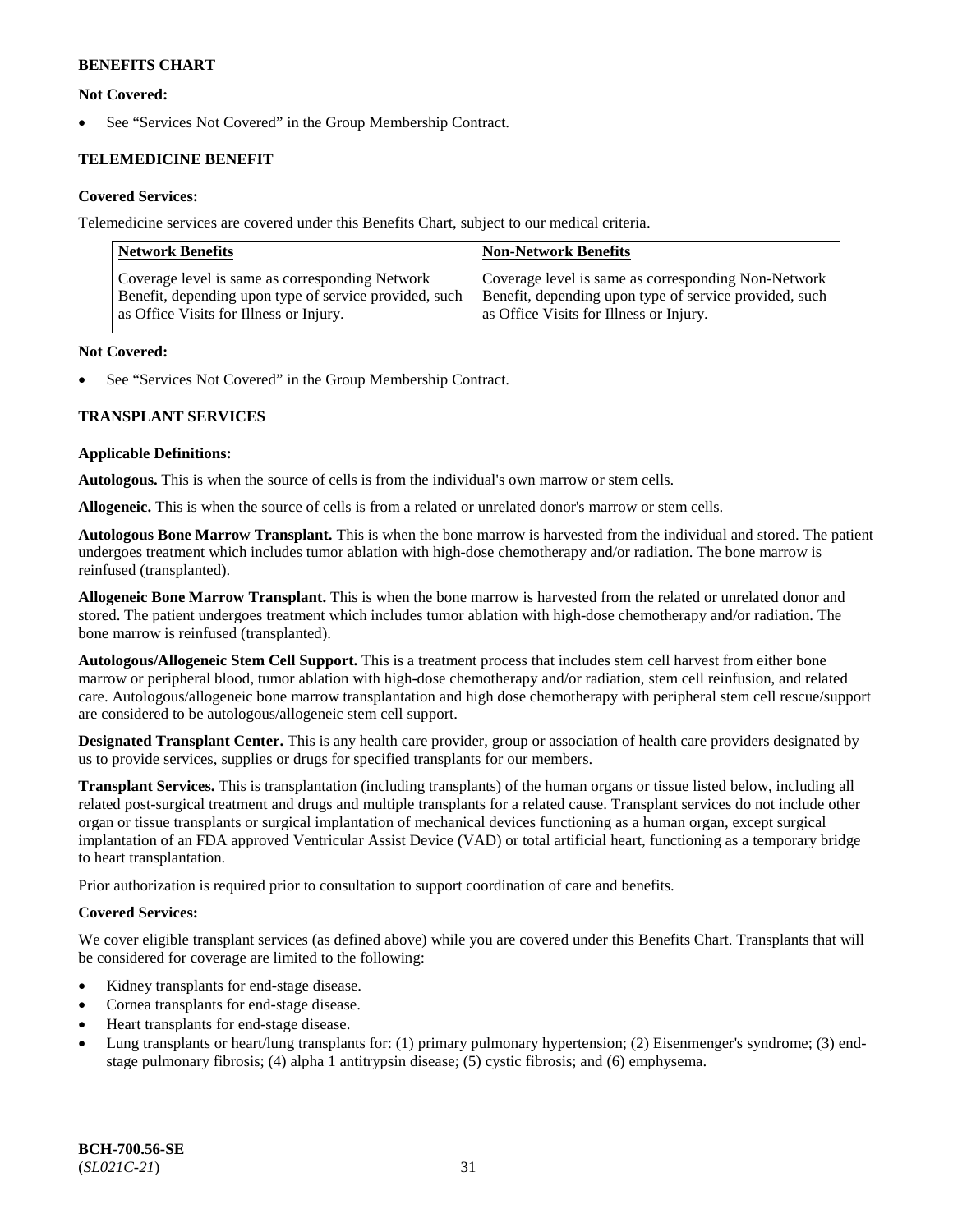# **Not Covered:**

See "Services Not Covered" in the Group Membership Contract.

# **TELEMEDICINE BENEFIT**

# **Covered Services:**

Telemedicine services are covered under this Benefits Chart, subject to our medical criteria.

| <b>Network Benefits</b>                                | <b>Non-Network Benefits</b>                            |
|--------------------------------------------------------|--------------------------------------------------------|
| Coverage level is same as corresponding Network        | Coverage level is same as corresponding Non-Network    |
| Benefit, depending upon type of service provided, such | Benefit, depending upon type of service provided, such |
| as Office Visits for Illness or Injury.                | as Office Visits for Illness or Injury.                |

#### **Not Covered:**

See "Services Not Covered" in the Group Membership Contract.

# **TRANSPLANT SERVICES**

#### **Applicable Definitions:**

**Autologous.** This is when the source of cells is from the individual's own marrow or stem cells.

**Allogeneic.** This is when the source of cells is from a related or unrelated donor's marrow or stem cells.

**Autologous Bone Marrow Transplant.** This is when the bone marrow is harvested from the individual and stored. The patient undergoes treatment which includes tumor ablation with high-dose chemotherapy and/or radiation. The bone marrow is reinfused (transplanted).

**Allogeneic Bone Marrow Transplant.** This is when the bone marrow is harvested from the related or unrelated donor and stored. The patient undergoes treatment which includes tumor ablation with high-dose chemotherapy and/or radiation. The bone marrow is reinfused (transplanted).

**Autologous/Allogeneic Stem Cell Support.** This is a treatment process that includes stem cell harvest from either bone marrow or peripheral blood, tumor ablation with high-dose chemotherapy and/or radiation, stem cell reinfusion, and related care. Autologous/allogeneic bone marrow transplantation and high dose chemotherapy with peripheral stem cell rescue/support are considered to be autologous/allogeneic stem cell support.

**Designated Transplant Center.** This is any health care provider, group or association of health care providers designated by us to provide services, supplies or drugs for specified transplants for our members.

**Transplant Services.** This is transplantation (including transplants) of the human organs or tissue listed below, including all related post-surgical treatment and drugs and multiple transplants for a related cause. Transplant services do not include other organ or tissue transplants or surgical implantation of mechanical devices functioning as a human organ, except surgical implantation of an FDA approved Ventricular Assist Device (VAD) or total artificial heart, functioning as a temporary bridge to heart transplantation.

Prior authorization is required prior to consultation to support coordination of care and benefits.

# **Covered Services:**

We cover eligible transplant services (as defined above) while you are covered under this Benefits Chart. Transplants that will be considered for coverage are limited to the following:

- Kidney transplants for end-stage disease.
- Cornea transplants for end-stage disease.
- Heart transplants for end-stage disease.
- Lung transplants or heart/lung transplants for: (1) primary pulmonary hypertension; (2) Eisenmenger's syndrome; (3) endstage pulmonary fibrosis; (4) alpha 1 antitrypsin disease; (5) cystic fibrosis; and (6) emphysema.